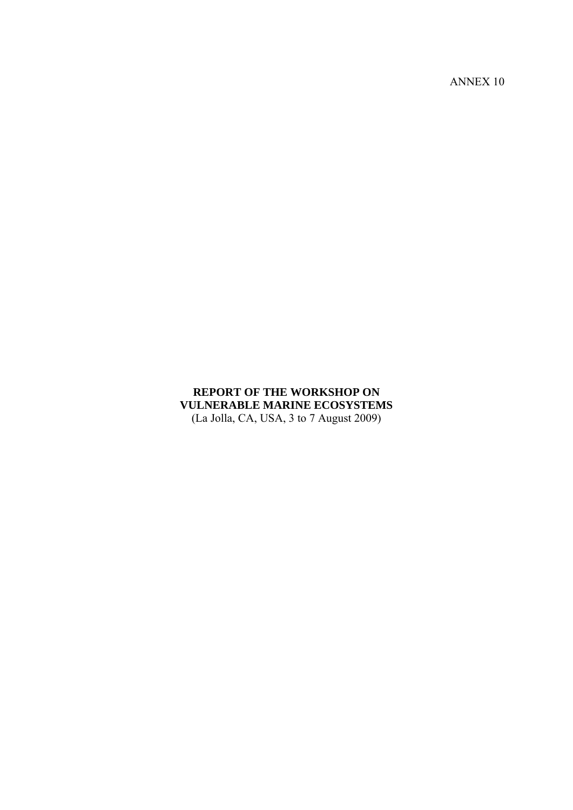ANNEX 10

# **REPORT OF THE WORKSHOP ON VULNERABLE MARINE ECOSYSTEMS**  (La Jolla, CA, USA, 3 to 7 August 2009)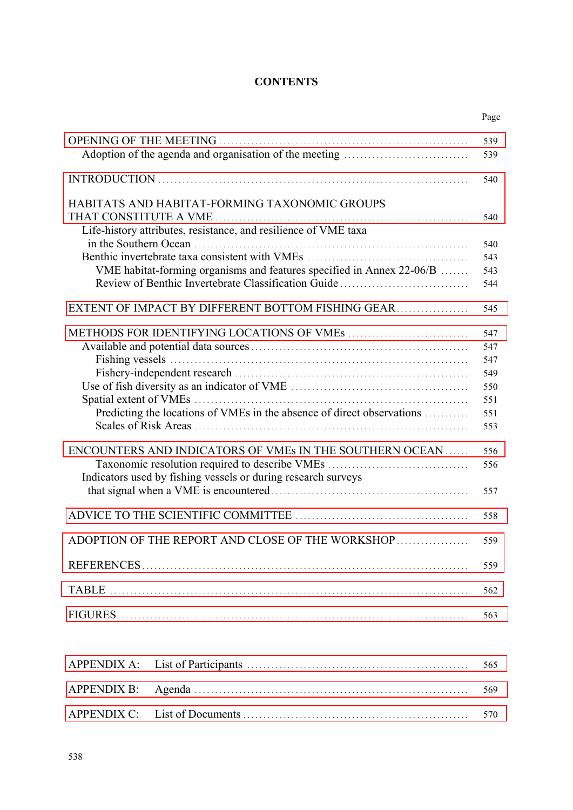# **CONTENTS**

|                                                                                                                              | Page       |
|------------------------------------------------------------------------------------------------------------------------------|------------|
|                                                                                                                              | 539<br>539 |
|                                                                                                                              | 540        |
| HABITATS AND HABITAT-FORMING TAXONOMIC GROUPS<br>Life-history attributes, resistance, and resilience of VME taxa             | 540        |
|                                                                                                                              | 540        |
|                                                                                                                              | 543        |
| VME habitat-forming organisms and features specified in Annex 22-06/B<br>Review of Benthic Invertebrate Classification Guide | 543<br>544 |
|                                                                                                                              |            |
| EXTENT OF IMPACT BY DIFFERENT BOTTOM FISHING GEAR                                                                            | 545        |
|                                                                                                                              | 547        |
|                                                                                                                              | 547        |
|                                                                                                                              | 547        |
|                                                                                                                              | 549        |
|                                                                                                                              | 550        |
|                                                                                                                              | 551        |
| Predicting the locations of VMEs in the absence of direct observations                                                       | 551        |
|                                                                                                                              | 553        |
| ENCOUNTERS AND INDICATORS OF VMEs IN THE SOUTHERN OCEAN                                                                      | 556        |
| Taxonomic resolution required to describe VMEs                                                                               | 556        |
| Indicators used by fishing vessels or during research surveys                                                                |            |
|                                                                                                                              | 557        |
|                                                                                                                              | 558        |
|                                                                                                                              |            |
| ADOPTION OF THE REPORT AND CLOSE OF THE WORKSHOP                                                                             | 559        |
|                                                                                                                              | 559        |
| <b>TABLE</b>                                                                                                                 | 562        |
|                                                                                                                              | 563        |
|                                                                                                                              |            |
| <b>APPENDIX A:</b>                                                                                                           |            |
|                                                                                                                              | 565        |
| <b>APPENDIX B:</b>                                                                                                           | 569        |
| <b>APPENDIX C:</b>                                                                                                           | 570        |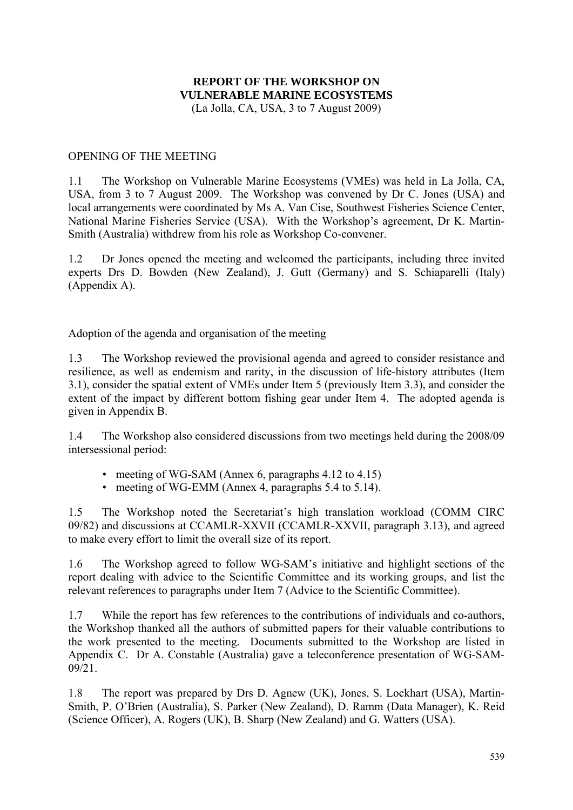# **REPORT OF THE WORKSHOP ON VULNERABLE MARINE ECOSYSTEMS**

(La Jolla, CA, USA, 3 to 7 August 2009)

## <span id="page-2-0"></span>OPENING OF THE MEETING

1.1 The Workshop on Vulnerable Marine Ecosystems (VMEs) was held in La Jolla, CA, USA, from 3 to 7 August 2009. The Workshop was convened by Dr C. Jones (USA) and local arrangements were coordinated by Ms A. Van Cise, Southwest Fisheries Science Center, National Marine Fisheries Service (USA). With the Workshop's agreement, Dr K. Martin-Smith (Australia) withdrew from his role as Workshop Co-convener.

1.2 Dr Jones opened the meeting and welcomed the participants, including three invited experts Drs D. Bowden (New Zealand), J. Gutt (Germany) and S. Schiaparelli (Italy) (Appendix A).

Adoption of the agenda and organisation of the meeting

1.3 The Workshop reviewed the provisional agenda and agreed to consider resistance and resilience, as well as endemism and rarity, in the discussion of life-history attributes (Item 3.1), consider the spatial extent of VMEs under Item 5 (previously Item 3.3), and consider the extent of the impact by different bottom fishing gear under Item 4. The adopted agenda is given in Appendix B.

1.4 The Workshop also considered discussions from two meetings held during the 2008/09 intersessional period:

- meeting of WG-SAM (Annex 6, paragraphs 4.12 to 4.15)
- meeting of WG-EMM (Annex 4, paragraphs 5.4 to 5.14).

1.5 The Workshop noted the Secretariat's high translation workload (COMM CIRC 09/82) and discussions at CCAMLR-XXVII (CCAMLR-XXVII, paragraph 3.13), and agreed to make every effort to limit the overall size of its report.

1.6 The Workshop agreed to follow WG-SAM's initiative and highlight sections of the report dealing with advice to the Scientific Committee and its working groups, and list the relevant references to paragraphs under Item 7 (Advice to the Scientific Committee).

1.7 While the report has few references to the contributions of individuals and co-authors, the Workshop thanked all the authors of submitted papers for their valuable contributions to the work presented to the meeting. Documents submitted to the Workshop are listed in Appendix C. Dr A. Constable (Australia) gave a teleconference presentation of WG-SAM-09/21.

1.8 The report was prepared by Drs D. Agnew (UK), Jones, S. Lockhart (USA), Martin-Smith, P. O'Brien (Australia), S. Parker (New Zealand), D. Ramm (Data Manager), K. Reid (Science Officer), A. Rogers (UK), B. Sharp (New Zealand) and G. Watters (USA).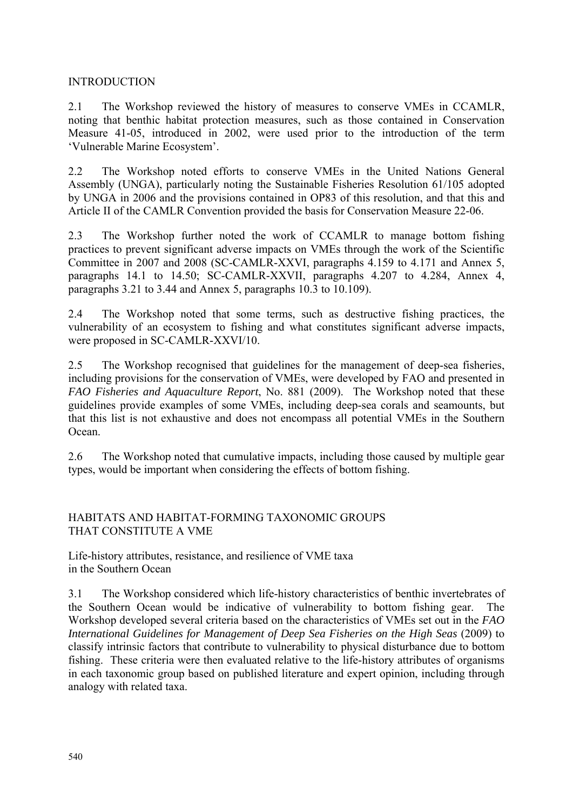## <span id="page-3-0"></span>INTRODUCTION

2.1 The Workshop reviewed the history of measures to conserve VMEs in CCAMLR, noting that benthic habitat protection measures, such as those contained in Conservation Measure 41-05, introduced in 2002, were used prior to the introduction of the term 'Vulnerable Marine Ecosystem'.

2.2 The Workshop noted efforts to conserve VMEs in the United Nations General Assembly (UNGA), particularly noting the Sustainable Fisheries Resolution 61/105 adopted by UNGA in 2006 and the provisions contained in OP83 of this resolution, and that this and Article II of the CAMLR Convention provided the basis for Conservation Measure 22-06.

2.3 The Workshop further noted the work of CCAMLR to manage bottom fishing practices to prevent significant adverse impacts on VMEs through the work of the Scientific Committee in 2007 and 2008 (SC-CAMLR-XXVI, paragraphs 4.159 to 4.171 and Annex 5, paragraphs 14.1 to 14.50; SC-CAMLR-XXVII, paragraphs 4.207 to 4.284, Annex 4, paragraphs 3.21 to 3.44 and Annex 5, paragraphs 10.3 to 10.109).

2.4 The Workshop noted that some terms, such as destructive fishing practices, the vulnerability of an ecosystem to fishing and what constitutes significant adverse impacts, were proposed in SC-CAMLR-XXVI/10.

2.5 The Workshop recognised that guidelines for the management of deep-sea fisheries, including provisions for the conservation of VMEs, were developed by FAO and presented in *FAO Fisheries and Aquaculture Report*, No. 881 (2009). The Workshop noted that these guidelines provide examples of some VMEs, including deep-sea corals and seamounts, but that this list is not exhaustive and does not encompass all potential VMEs in the Southern Ocean.

2.6 The Workshop noted that cumulative impacts, including those caused by multiple gear types, would be important when considering the effects of bottom fishing.

# HABITATS AND HABITAT-FORMING TAXONOMIC GROUPS THAT CONSTITUTE A VME

Life-history attributes, resistance, and resilience of VME taxa in the Southern Ocean

3.1 The Workshop considered which life-history characteristics of benthic invertebrates of the Southern Ocean would be indicative of vulnerability to bottom fishing gear. The Workshop developed several criteria based on the characteristics of VMEs set out in the *FAO International Guidelines for Management of Deep Sea Fisheries on the High Seas* (2009) to classify intrinsic factors that contribute to vulnerability to physical disturbance due to bottom fishing. These criteria were then evaluated relative to the life-history attributes of organisms in each taxonomic group based on published literature and expert opinion, including through analogy with related taxa.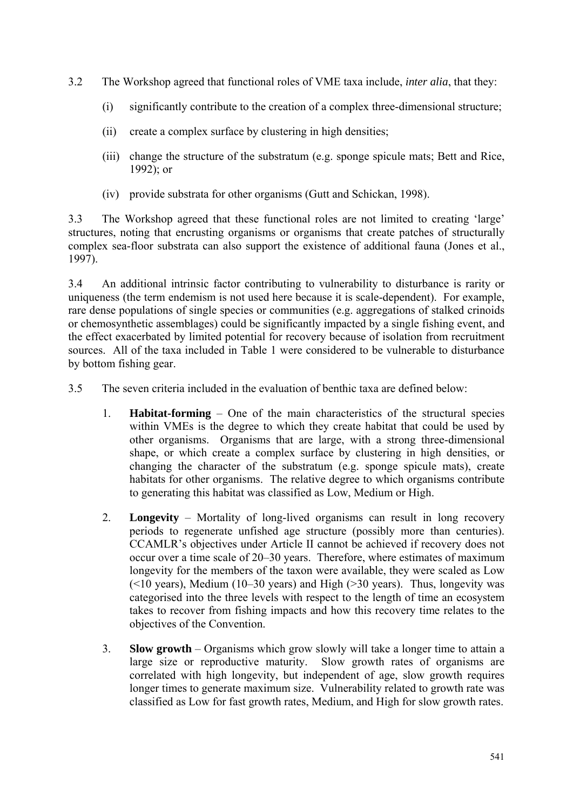- 3.2 The Workshop agreed that functional roles of VME taxa include, *inter alia*, that they:
	- (i) significantly contribute to the creation of a complex three-dimensional structure;
	- (ii) create a complex surface by clustering in high densities;
	- (iii) change the structure of the substratum (e.g. sponge spicule mats; Bett and Rice, 1992); or
	- (iv) provide substrata for other organisms (Gutt and Schickan, 1998).

3.3 The Workshop agreed that these functional roles are not limited to creating 'large' structures, noting that encrusting organisms or organisms that create patches of structurally complex sea-floor substrata can also support the existence of additional fauna (Jones et al., 1997).

3.4 An additional intrinsic factor contributing to vulnerability to disturbance is rarity or uniqueness (the term endemism is not used here because it is scale-dependent). For example, rare dense populations of single species or communities (e.g. aggregations of stalked crinoids or chemosynthetic assemblages) could be significantly impacted by a single fishing event, and the effect exacerbated by limited potential for recovery because of isolation from recruitment sources. All of the taxa included in Table 1 were considered to be vulnerable to disturbance by bottom fishing gear.

3.5 The seven criteria included in the evaluation of benthic taxa are defined below:

- 1. **Habitat-forming** One of the main characteristics of the structural species within VMEs is the degree to which they create habitat that could be used by other organisms. Organisms that are large, with a strong three-dimensional shape, or which create a complex surface by clustering in high densities, or changing the character of the substratum (e.g. sponge spicule mats), create habitats for other organisms. The relative degree to which organisms contribute to generating this habitat was classified as Low, Medium or High.
- 2. **Longevity** Mortality of long-lived organisms can result in long recovery periods to regenerate unfished age structure (possibly more than centuries). CCAMLR's objectives under Article II cannot be achieved if recovery does not occur over a time scale of 20–30 years. Therefore, where estimates of maximum longevity for the members of the taxon were available, they were scaled as Low  $($  <10 years), Medium (10–30 years) and High ( $>$ 30 years). Thus, longevity was categorised into the three levels with respect to the length of time an ecosystem takes to recover from fishing impacts and how this recovery time relates to the objectives of the Convention.
- 3. **Slow growth** Organisms which grow slowly will take a longer time to attain a large size or reproductive maturity. Slow growth rates of organisms are correlated with high longevity, but independent of age, slow growth requires longer times to generate maximum size. Vulnerability related to growth rate was classified as Low for fast growth rates, Medium, and High for slow growth rates.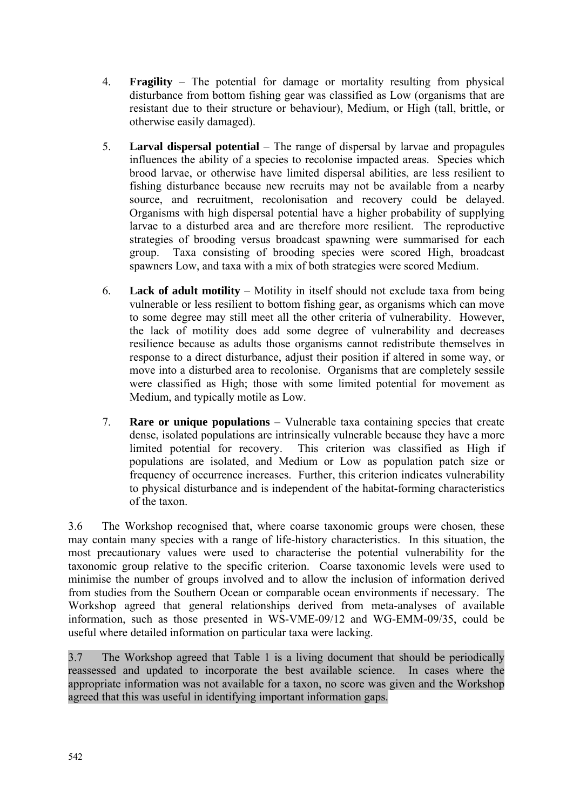- 4. **Fragility** The potential for damage or mortality resulting from physical disturbance from bottom fishing gear was classified as Low (organisms that are resistant due to their structure or behaviour), Medium, or High (tall, brittle, or otherwise easily damaged).
- 5. **Larval dispersal potential** The range of dispersal by larvae and propagules influences the ability of a species to recolonise impacted areas. Species which brood larvae, or otherwise have limited dispersal abilities, are less resilient to fishing disturbance because new recruits may not be available from a nearby source, and recruitment, recolonisation and recovery could be delayed. Organisms with high dispersal potential have a higher probability of supplying larvae to a disturbed area and are therefore more resilient. The reproductive strategies of brooding versus broadcast spawning were summarised for each group. Taxa consisting of brooding species were scored High, broadcast spawners Low, and taxa with a mix of both strategies were scored Medium.
- 6. **Lack of adult motility** Motility in itself should not exclude taxa from being vulnerable or less resilient to bottom fishing gear, as organisms which can move to some degree may still meet all the other criteria of vulnerability. However, the lack of motility does add some degree of vulnerability and decreases resilience because as adults those organisms cannot redistribute themselves in response to a direct disturbance, adjust their position if altered in some way, or move into a disturbed area to recolonise. Organisms that are completely sessile were classified as High; those with some limited potential for movement as Medium, and typically motile as Low.
- 7. **Rare or unique populations** Vulnerable taxa containing species that create dense, isolated populations are intrinsically vulnerable because they have a more limited potential for recovery. This criterion was classified as High if populations are isolated, and Medium or Low as population patch size or frequency of occurrence increases. Further, this criterion indicates vulnerability to physical disturbance and is independent of the habitat-forming characteristics of the taxon.

3.6 The Workshop recognised that, where coarse taxonomic groups were chosen, these may contain many species with a range of life-history characteristics. In this situation, the most precautionary values were used to characterise the potential vulnerability for the taxonomic group relative to the specific criterion. Coarse taxonomic levels were used to minimise the number of groups involved and to allow the inclusion of information derived from studies from the Southern Ocean or comparable ocean environments if necessary. The Workshop agreed that general relationships derived from meta-analyses of available information, such as those presented in WS-VME-09/12 and WG-EMM-09/35, could be useful where detailed information on particular taxa were lacking.

3.7 The Workshop agreed that Table 1 is a living document that should be periodically reassessed and updated to incorporate the best available science. In cases where the appropriate information was not available for a taxon, no score was given and the Workshop agreed that this was useful in identifying important information gaps.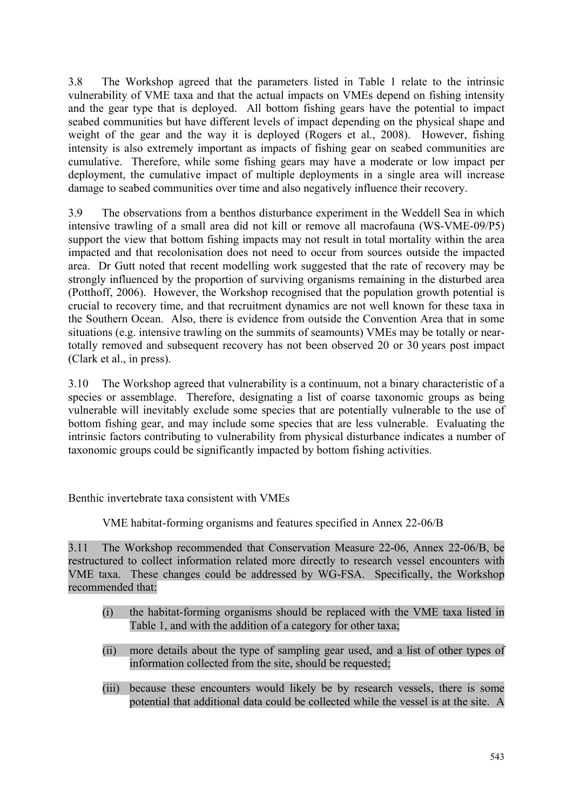3.8 The Workshop agreed that the parameters listed in Table 1 relate to the intrinsic vulnerability of VME taxa and that the actual impacts on VMEs depend on fishing intensity and the gear type that is deployed. All bottom fishing gears have the potential to impact seabed communities but have different levels of impact depending on the physical shape and weight of the gear and the way it is deployed (Rogers et al., 2008). However, fishing intensity is also extremely important as impacts of fishing gear on seabed communities are cumulative. Therefore, while some fishing gears may have a moderate or low impact per deployment, the cumulative impact of multiple deployments in a single area will increase damage to seabed communities over time and also negatively influence their recovery.

3.9 The observations from a benthos disturbance experiment in the Weddell Sea in which intensive trawling of a small area did not kill or remove all macrofauna (WS-VME-09/P5) support the view that bottom fishing impacts may not result in total mortality within the area impacted and that recolonisation does not need to occur from sources outside the impacted area. Dr Gutt noted that recent modelling work suggested that the rate of recovery may be strongly influenced by the proportion of surviving organisms remaining in the disturbed area (Potthoff, 2006). However, the Workshop recognised that the population growth potential is crucial to recovery time, and that recruitment dynamics are not well known for these taxa in the Southern Ocean. Also, there is evidence from outside the Convention Area that in some situations (e.g. intensive trawling on the summits of seamounts) VMEs may be totally or neartotally removed and subsequent recovery has not been observed 20 or 30 years post impact (Clark et al., in press).

3.10 The Workshop agreed that vulnerability is a continuum, not a binary characteristic of a species or assemblage. Therefore, designating a list of coarse taxonomic groups as being vulnerable will inevitably exclude some species that are potentially vulnerable to the use of bottom fishing gear, and may include some species that are less vulnerable. Evaluating the intrinsic factors contributing to vulnerability from physical disturbance indicates a number of taxonomic groups could be significantly impacted by bottom fishing activities.

Benthic invertebrate taxa consistent with VMEs

VME habitat-forming organisms and features specified in Annex 22-06/B

3.11 The Workshop recommended that Conservation Measure 22-06, Annex 22-06/B, be restructured to collect information related more directly to research vessel encounters with VME taxa. These changes could be addressed by WG-FSA. Specifically, the Workshop recommended that:

- (i) the habitat-forming organisms should be replaced with the VME taxa listed in Table 1, and with the addition of a category for other taxa;
- (ii) more details about the type of sampling gear used, and a list of other types of information collected from the site, should be requested;
- (iii) because these encounters would likely be by research vessels, there is some potential that additional data could be collected while the vessel is at the site. A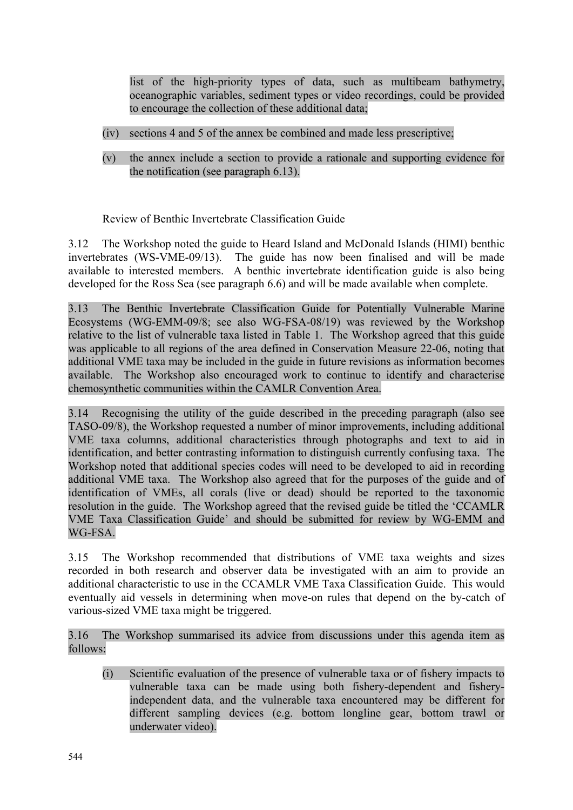list of the high-priority types of data, such as multibeam bathymetry, oceanographic variables, sediment types or video recordings, could be provided to encourage the collection of these additional data;

- (iv) sections 4 and 5 of the annex be combined and made less prescriptive;
- (v) the annex include a section to provide a rationale and supporting evidence for the notification (see paragraph 6.13).

Review of Benthic Invertebrate Classification Guide

3.12 The Workshop noted the guide to Heard Island and McDonald Islands (HIMI) benthic invertebrates (WS-VME-09/13). The guide has now been finalised and will be made available to interested members. A benthic invertebrate identification guide is also being developed for the Ross Sea (see paragraph 6.6) and will be made available when complete.

3.13 The Benthic Invertebrate Classification Guide for Potentially Vulnerable Marine Ecosystems (WG-EMM-09/8; see also WG-FSA-08/19) was reviewed by the Workshop relative to the list of vulnerable taxa listed in Table 1. The Workshop agreed that this guide was applicable to all regions of the area defined in Conservation Measure 22-06, noting that additional VME taxa may be included in the guide in future revisions as information becomes available. The Workshop also encouraged work to continue to identify and characterise chemosynthetic communities within the CAMLR Convention Area.

3.14 Recognising the utility of the guide described in the preceding paragraph (also see TASO-09/8), the Workshop requested a number of minor improvements, including additional VME taxa columns, additional characteristics through photographs and text to aid in identification, and better contrasting information to distinguish currently confusing taxa. The Workshop noted that additional species codes will need to be developed to aid in recording additional VME taxa. The Workshop also agreed that for the purposes of the guide and of identification of VMEs, all corals (live or dead) should be reported to the taxonomic resolution in the guide. The Workshop agreed that the revised guide be titled the 'CCAMLR VME Taxa Classification Guide' and should be submitted for review by WG-EMM and WG-FSA.

3.15 The Workshop recommended that distributions of VME taxa weights and sizes recorded in both research and observer data be investigated with an aim to provide an additional characteristic to use in the CCAMLR VME Taxa Classification Guide. This would eventually aid vessels in determining when move-on rules that depend on the by-catch of various-sized VME taxa might be triggered.

3.16 The Workshop summarised its advice from discussions under this agenda item as follows:

(i) Scientific evaluation of the presence of vulnerable taxa or of fishery impacts to vulnerable taxa can be made using both fishery-dependent and fisheryindependent data, and the vulnerable taxa encountered may be different for different sampling devices (e.g. bottom longline gear, bottom trawl or underwater video).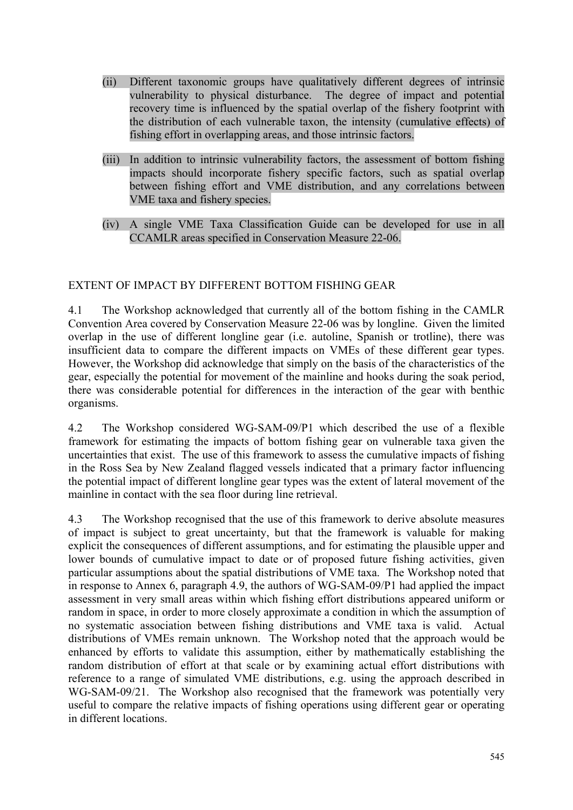- <span id="page-8-0"></span>(ii) Different taxonomic groups have qualitatively different degrees of intrinsic vulnerability to physical disturbance. The degree of impact and potential recovery time is influenced by the spatial overlap of the fishery footprint with the distribution of each vulnerable taxon, the intensity (cumulative effects) of fishing effort in overlapping areas, and those intrinsic factors.
- (iii) In addition to intrinsic vulnerability factors, the assessment of bottom fishing impacts should incorporate fishery specific factors, such as spatial overlap between fishing effort and VME distribution, and any correlations between VME taxa and fishery species.
- (iv) A single VME Taxa Classification Guide can be developed for use in all CCAMLR areas specified in Conservation Measure 22-06.

# EXTENT OF IMPACT BY DIFFERENT BOTTOM FISHING GEAR

4.1 The Workshop acknowledged that currently all of the bottom fishing in the CAMLR Convention Area covered by Conservation Measure 22-06 was by longline. Given the limited overlap in the use of different longline gear (i.e. autoline, Spanish or trotline), there was insufficient data to compare the different impacts on VMEs of these different gear types. However, the Workshop did acknowledge that simply on the basis of the characteristics of the gear, especially the potential for movement of the mainline and hooks during the soak period, there was considerable potential for differences in the interaction of the gear with benthic organisms.

4.2 The Workshop considered WG-SAM-09/P1 which described the use of a flexible framework for estimating the impacts of bottom fishing gear on vulnerable taxa given the uncertainties that exist. The use of this framework to assess the cumulative impacts of fishing in the Ross Sea by New Zealand flagged vessels indicated that a primary factor influencing the potential impact of different longline gear types was the extent of lateral movement of the mainline in contact with the sea floor during line retrieval.

4.3 The Workshop recognised that the use of this framework to derive absolute measures of impact is subject to great uncertainty, but that the framework is valuable for making explicit the consequences of different assumptions, and for estimating the plausible upper and lower bounds of cumulative impact to date or of proposed future fishing activities, given particular assumptions about the spatial distributions of VME taxa. The Workshop noted that in response to Annex 6, paragraph 4.9, the authors of WG-SAM-09/P1 had applied the impact assessment in very small areas within which fishing effort distributions appeared uniform or random in space, in order to more closely approximate a condition in which the assumption of no systematic association between fishing distributions and VME taxa is valid. Actual distributions of VMEs remain unknown. The Workshop noted that the approach would be enhanced by efforts to validate this assumption, either by mathematically establishing the random distribution of effort at that scale or by examining actual effort distributions with reference to a range of simulated VME distributions, e.g. using the approach described in WG-SAM-09/21. The Workshop also recognised that the framework was potentially very useful to compare the relative impacts of fishing operations using different gear or operating in different locations.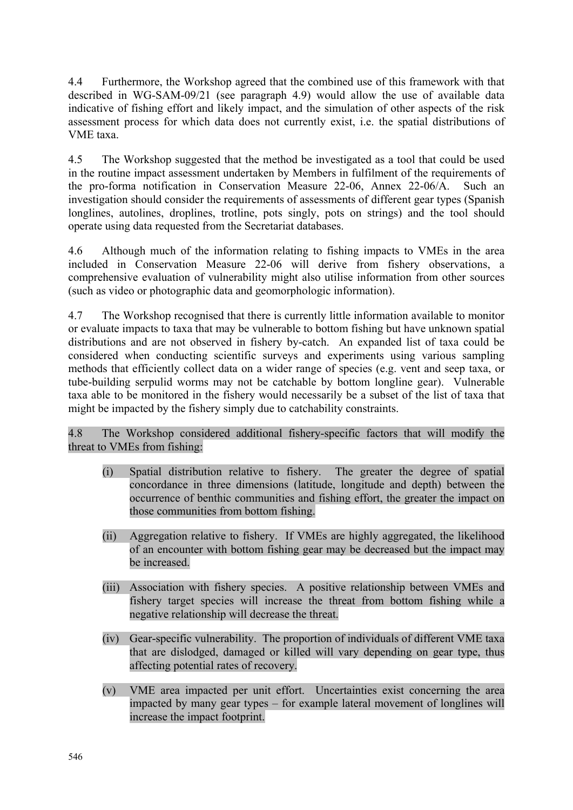4.4 Furthermore, the Workshop agreed that the combined use of this framework with that described in WG-SAM-09/21 (see paragraph 4.9) would allow the use of available data indicative of fishing effort and likely impact, and the simulation of other aspects of the risk assessment process for which data does not currently exist, i.e. the spatial distributions of VME taxa.

4.5 The Workshop suggested that the method be investigated as a tool that could be used in the routine impact assessment undertaken by Members in fulfilment of the requirements of the pro-forma notification in Conservation Measure 22-06, Annex 22-06/A. Such an investigation should consider the requirements of assessments of different gear types (Spanish longlines, autolines, droplines, trotline, pots singly, pots on strings) and the tool should operate using data requested from the Secretariat databases.

4.6 Although much of the information relating to fishing impacts to VMEs in the area included in Conservation Measure 22-06 will derive from fishery observations, a comprehensive evaluation of vulnerability might also utilise information from other sources (such as video or photographic data and geomorphologic information).

4.7 The Workshop recognised that there is currently little information available to monitor or evaluate impacts to taxa that may be vulnerable to bottom fishing but have unknown spatial distributions and are not observed in fishery by-catch. An expanded list of taxa could be considered when conducting scientific surveys and experiments using various sampling methods that efficiently collect data on a wider range of species (e.g. vent and seep taxa, or tube-building serpulid worms may not be catchable by bottom longline gear). Vulnerable taxa able to be monitored in the fishery would necessarily be a subset of the list of taxa that might be impacted by the fishery simply due to catchability constraints.

4.8 The Workshop considered additional fishery-specific factors that will modify the threat to VMEs from fishing:

- (i) Spatial distribution relative to fishery. The greater the degree of spatial concordance in three dimensions (latitude, longitude and depth) between the occurrence of benthic communities and fishing effort, the greater the impact on those communities from bottom fishing.
- (ii) Aggregation relative to fishery. If VMEs are highly aggregated, the likelihood of an encounter with bottom fishing gear may be decreased but the impact may be increased.
- (iii) Association with fishery species. A positive relationship between VMEs and fishery target species will increase the threat from bottom fishing while a negative relationship will decrease the threat.
- (iv) Gear-specific vulnerability. The proportion of individuals of different VME taxa that are dislodged, damaged or killed will vary depending on gear type, thus affecting potential rates of recovery.
- (v) VME area impacted per unit effort. Uncertainties exist concerning the area impacted by many gear types – for example lateral movement of longlines will increase the impact footprint.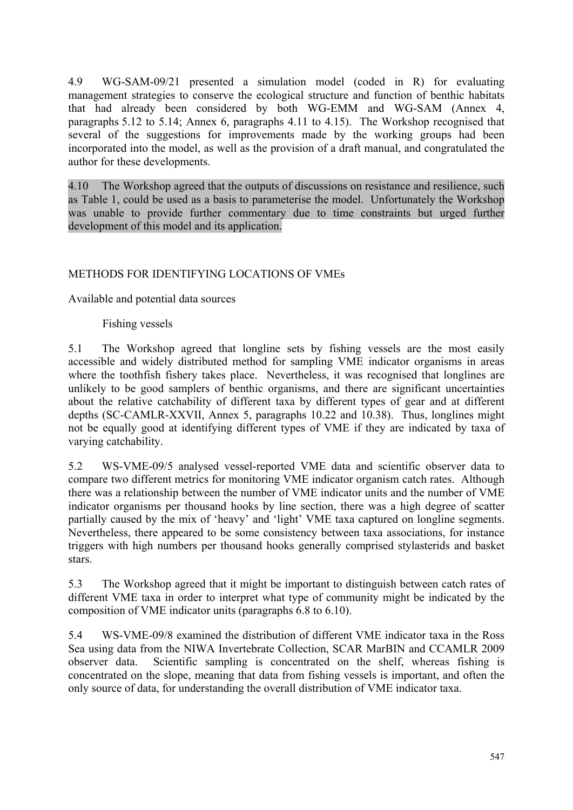<span id="page-10-0"></span>4.9 WG-SAM-09/21 presented a simulation model (coded in R) for evaluating management strategies to conserve the ecological structure and function of benthic habitats that had already been considered by both WG-EMM and WG-SAM (Annex 4, paragraphs 5.12 to 5.14; Annex 6, paragraphs 4.11 to 4.15). The Workshop recognised that several of the suggestions for improvements made by the working groups had been incorporated into the model, as well as the provision of a draft manual, and congratulated the author for these developments.

4.10 The Workshop agreed that the outputs of discussions on resistance and resilience, such as Table 1, could be used as a basis to parameterise the model. Unfortunately the Workshop was unable to provide further commentary due to time constraints but urged further development of this model and its application.

# METHODS FOR IDENTIFYING LOCATIONS OF VMEs

Available and potential data sources

Fishing vessels

5.1 The Workshop agreed that longline sets by fishing vessels are the most easily accessible and widely distributed method for sampling VME indicator organisms in areas where the toothfish fishery takes place. Nevertheless, it was recognised that longlines are unlikely to be good samplers of benthic organisms, and there are significant uncertainties about the relative catchability of different taxa by different types of gear and at different depths (SC-CAMLR-XXVII, Annex 5, paragraphs 10.22 and 10.38). Thus, longlines might not be equally good at identifying different types of VME if they are indicated by taxa of varying catchability.

5.2 WS-VME-09/5 analysed vessel-reported VME data and scientific observer data to compare two different metrics for monitoring VME indicator organism catch rates. Although there was a relationship between the number of VME indicator units and the number of VME indicator organisms per thousand hooks by line section, there was a high degree of scatter partially caused by the mix of 'heavy' and 'light' VME taxa captured on longline segments. Nevertheless, there appeared to be some consistency between taxa associations, for instance triggers with high numbers per thousand hooks generally comprised stylasterids and basket stars.

5.3 The Workshop agreed that it might be important to distinguish between catch rates of different VME taxa in order to interpret what type of community might be indicated by the composition of VME indicator units (paragraphs 6.8 to 6.10).

5.4 WS-VME-09/8 examined the distribution of different VME indicator taxa in the Ross Sea using data from the NIWA Invertebrate Collection, SCAR MarBIN and CCAMLR 2009 observer data. Scientific sampling is concentrated on the shelf, whereas fishing is concentrated on the slope, meaning that data from fishing vessels is important, and often the only source of data, for understanding the overall distribution of VME indicator taxa.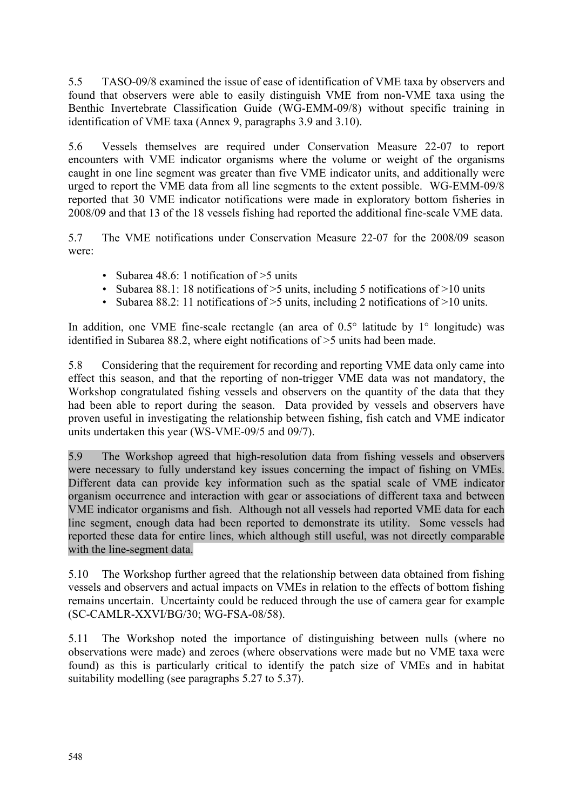5.5 TASO-09/8 examined the issue of ease of identification of VME taxa by observers and found that observers were able to easily distinguish VME from non-VME taxa using the Benthic Invertebrate Classification Guide (WG-EMM-09/8) without specific training in identification of VME taxa (Annex 9, paragraphs 3.9 and 3.10).

5.6 Vessels themselves are required under Conservation Measure 22-07 to report encounters with VME indicator organisms where the volume or weight of the organisms caught in one line segment was greater than five VME indicator units, and additionally were urged to report the VME data from all line segments to the extent possible. WG-EMM-09/8 reported that 30 VME indicator notifications were made in exploratory bottom fisheries in 2008/09 and that 13 of the 18 vessels fishing had reported the additional fine-scale VME data.

5.7 The VME notifications under Conservation Measure 22-07 for the 2008/09 season were:

- Subarea 48.6: 1 notification of > 5 units
- Subarea 88.1: 18 notifications of  $>5$  units, including 5 notifications of  $>10$  units
- Subarea 88.2: 11 notifications of  $\geq$ 5 units, including 2 notifications of  $\geq$ 10 units.

In addition, one VME fine-scale rectangle (an area of  $0.5^{\circ}$  latitude by  $1^{\circ}$  longitude) was identified in Subarea 88.2, where eight notifications of >5 units had been made.

5.8 Considering that the requirement for recording and reporting VME data only came into effect this season, and that the reporting of non-trigger VME data was not mandatory, the Workshop congratulated fishing vessels and observers on the quantity of the data that they had been able to report during the season. Data provided by vessels and observers have proven useful in investigating the relationship between fishing, fish catch and VME indicator units undertaken this year (WS-VME-09/5 and 09/7).

5.9 The Workshop agreed that high-resolution data from fishing vessels and observers were necessary to fully understand key issues concerning the impact of fishing on VMEs. Different data can provide key information such as the spatial scale of VME indicator organism occurrence and interaction with gear or associations of different taxa and between VME indicator organisms and fish. Although not all vessels had reported VME data for each line segment, enough data had been reported to demonstrate its utility. Some vessels had reported these data for entire lines, which although still useful, was not directly comparable with the line-segment data.

5.10 The Workshop further agreed that the relationship between data obtained from fishing vessels and observers and actual impacts on VMEs in relation to the effects of bottom fishing remains uncertain. Uncertainty could be reduced through the use of camera gear for example (SC-CAMLR-XXVI/BG/30; WG-FSA-08/58).

5.11 The Workshop noted the importance of distinguishing between nulls (where no observations were made) and zeroes (where observations were made but no VME taxa were found) as this is particularly critical to identify the patch size of VMEs and in habitat suitability modelling (see paragraphs 5.27 to 5.37).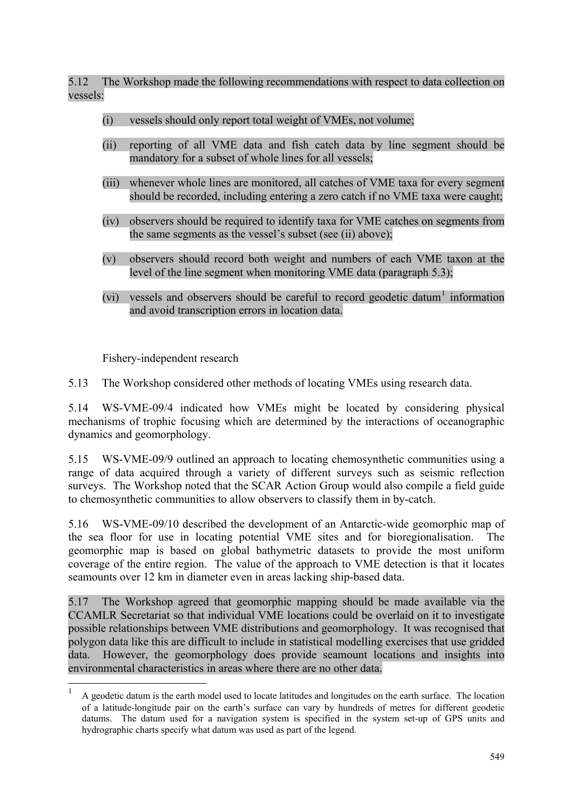5.12 The Workshop made the following recommendations with respect to data collection on vessels:

- (i) vessels should only report total weight of VMEs, not volume;
- (ii) reporting of all VME data and fish catch data by line segment should be mandatory for a subset of whole lines for all vessels;
- (iii) whenever whole lines are monitored, all catches of VME taxa for every segment should be recorded, including entering a zero catch if no VME taxa were caught;
- (iv) observers should be required to identify taxa for VME catches on segments from the same segments as the vessel's subset (see (ii) above);
- (v) observers should record both weight and numbers of each VME taxon at the level of the line segment when monitoring VME data (paragraph 5.3);
- (vi) vessels and observers should be careful to record geodetic datum<sup>1</sup> information and avoid transcription errors in location data.

Fishery-independent research

<u>.</u>

5.13 The Workshop considered other methods of locating VMEs using research data.

5.14 WS-VME-09/4 indicated how VMEs might be located by considering physical mechanisms of trophic focusing which are determined by the interactions of oceanographic dynamics and geomorphology.

5.15 WS-VME-09/9 outlined an approach to locating chemosynthetic communities using a range of data acquired through a variety of different surveys such as seismic reflection surveys. The Workshop noted that the SCAR Action Group would also compile a field guide to chemosynthetic communities to allow observers to classify them in by-catch.

5.16 WS-VME-09/10 described the development of an Antarctic-wide geomorphic map of the sea floor for use in locating potential VME sites and for bioregionalisation. The geomorphic map is based on global bathymetric datasets to provide the most uniform coverage of the entire region. The value of the approach to VME detection is that it locates seamounts over 12 km in diameter even in areas lacking ship-based data.

5.17 The Workshop agreed that geomorphic mapping should be made available via the CCAMLR Secretariat so that individual VME locations could be overlaid on it to investigate possible relationships between VME distributions and geomorphology. It was recognised that polygon data like this are difficult to include in statistical modelling exercises that use gridded data. However, the geomorphology does provide seamount locations and insights into environmental characteristics in areas where there are no other data.

<sup>1</sup> A geodetic datum is the earth model used to locate latitudes and longitudes on the earth surface. The location of a latitude-longitude pair on the earth's surface can vary by hundreds of metres for different geodetic datums. The datum used for a navigation system is specified in the system set-up of GPS units and hydrographic charts specify what datum was used as part of the legend.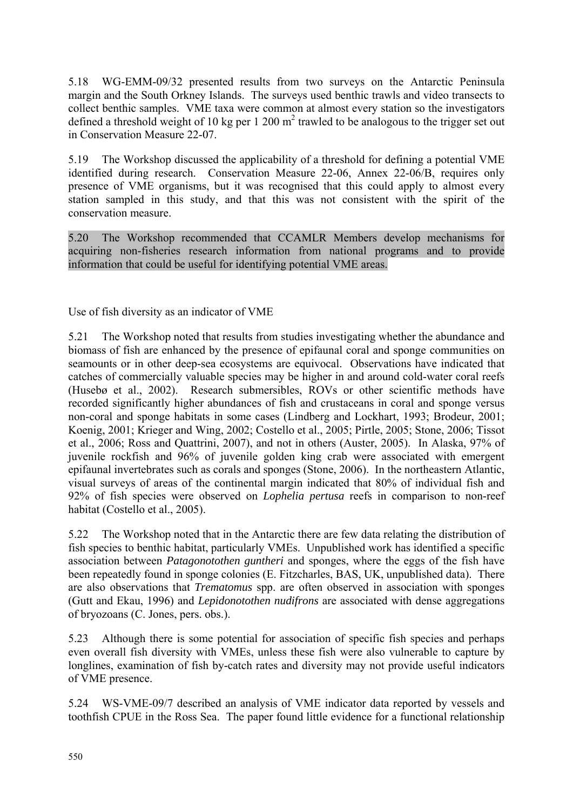5.18 WG-EMM-09/32 presented results from two surveys on the Antarctic Peninsula margin and the South Orkney Islands. The surveys used benthic trawls and video transects to collect benthic samples. VME taxa were common at almost every station so the investigators defined a threshold weight of 10 kg per 1 200  $m^2$  trawled to be analogous to the trigger set out in Conservation Measure 22-07.

5.19 The Workshop discussed the applicability of a threshold for defining a potential VME identified during research. Conservation Measure 22-06, Annex 22-06/B, requires only presence of VME organisms, but it was recognised that this could apply to almost every station sampled in this study, and that this was not consistent with the spirit of the conservation measure.

5.20 The Workshop recommended that CCAMLR Members develop mechanisms for acquiring non-fisheries research information from national programs and to provide information that could be useful for identifying potential VME areas.

Use of fish diversity as an indicator of VME

5.21 The Workshop noted that results from studies investigating whether the abundance and biomass of fish are enhanced by the presence of epifaunal coral and sponge communities on seamounts or in other deep-sea ecosystems are equivocal. Observations have indicated that catches of commercially valuable species may be higher in and around cold-water coral reefs (Husebø et al., 2002). Research submersibles, ROVs or other scientific methods have recorded significantly higher abundances of fish and crustaceans in coral and sponge versus non-coral and sponge habitats in some cases (Lindberg and Lockhart, 1993; Brodeur, 2001; Koenig, 2001; Krieger and Wing, 2002; Costello et al., 2005; Pirtle, 2005; Stone, 2006; Tissot et al., 2006; Ross and Quattrini, 2007), and not in others (Auster, 2005). In Alaska, 97% of juvenile rockfish and 96% of juvenile golden king crab were associated with emergent epifaunal invertebrates such as corals and sponges (Stone, 2006). In the northeastern Atlantic, visual surveys of areas of the continental margin indicated that 80% of individual fish and 92% of fish species were observed on *Lophelia pertusa* reefs in comparison to non-reef habitat (Costello et al., 2005).

5.22 The Workshop noted that in the Antarctic there are few data relating the distribution of fish species to benthic habitat, particularly VMEs. Unpublished work has identified a specific association between *Patagonotothen guntheri* and sponges, where the eggs of the fish have been repeatedly found in sponge colonies (E. Fitzcharles, BAS, UK, unpublished data). There are also observations that *Trematomus* spp. are often observed in association with sponges (Gutt and Ekau, 1996) and *Lepidonotothen nudifrons* are associated with dense aggregations of bryozoans (C. Jones, pers. obs.).

5.23 Although there is some potential for association of specific fish species and perhaps even overall fish diversity with VMEs, unless these fish were also vulnerable to capture by longlines, examination of fish by-catch rates and diversity may not provide useful indicators of VME presence.

5.24 WS-VME-09/7 described an analysis of VME indicator data reported by vessels and toothfish CPUE in the Ross Sea. The paper found little evidence for a functional relationship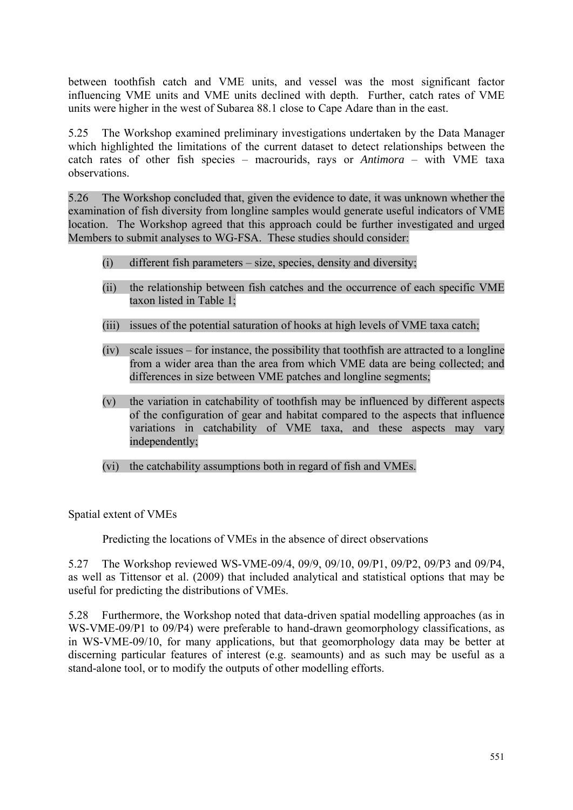between toothfish catch and VME units, and vessel was the most significant factor influencing VME units and VME units declined with depth. Further, catch rates of VME units were higher in the west of Subarea 88.1 close to Cape Adare than in the east.

5.25 The Workshop examined preliminary investigations undertaken by the Data Manager which highlighted the limitations of the current dataset to detect relationships between the catch rates of other fish species – macrourids, rays or *Antimora* – with VME taxa observations.

5.26 The Workshop concluded that, given the evidence to date, it was unknown whether the examination of fish diversity from longline samples would generate useful indicators of VME location. The Workshop agreed that this approach could be further investigated and urged Members to submit analyses to WG-FSA. These studies should consider:

- (i) different fish parameters size, species, density and diversity;
- (ii) the relationship between fish catches and the occurrence of each specific VME taxon listed in Table 1;
- (iii) issues of the potential saturation of hooks at high levels of VME taxa catch;
- (iv) scale issues for instance, the possibility that toothfish are attracted to a longline from a wider area than the area from which VME data are being collected; and differences in size between VME patches and longline segments;
- (v) the variation in catchability of toothfish may be influenced by different aspects of the configuration of gear and habitat compared to the aspects that influence variations in catchability of VME taxa, and these aspects may vary independently;
- (vi) the catchability assumptions both in regard of fish and VMEs.

Spatial extent of VMEs

Predicting the locations of VMEs in the absence of direct observations

5.27 The Workshop reviewed WS-VME-09/4, 09/9, 09/10, 09/P1, 09/P2, 09/P3 and 09/P4, as well as Tittensor et al. (2009) that included analytical and statistical options that may be useful for predicting the distributions of VMEs.

5.28 Furthermore, the Workshop noted that data-driven spatial modelling approaches (as in WS-VME-09/P1 to 09/P4) were preferable to hand-drawn geomorphology classifications, as in WS-VME-09/10, for many applications, but that geomorphology data may be better at discerning particular features of interest (e.g. seamounts) and as such may be useful as a stand-alone tool, or to modify the outputs of other modelling efforts.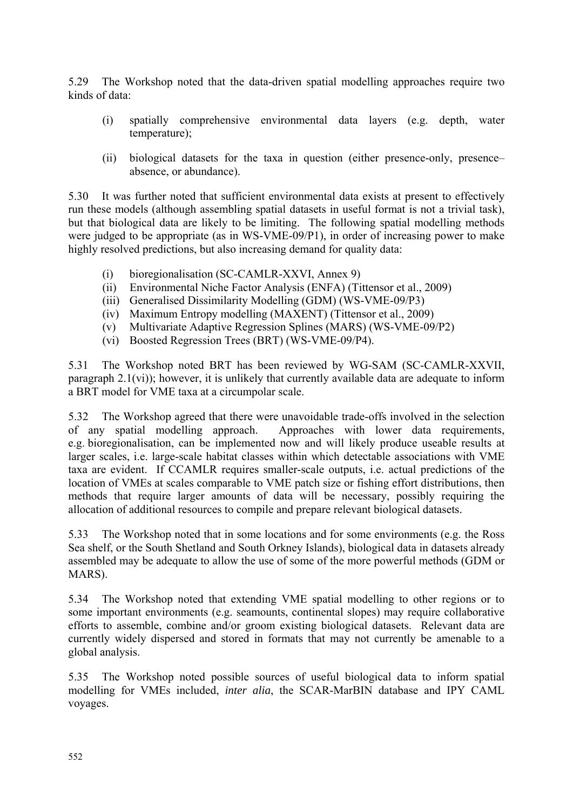5.29 The Workshop noted that the data-driven spatial modelling approaches require two kinds of data:

- (i) spatially comprehensive environmental data layers (e.g. depth, water temperature);
- (ii) biological datasets for the taxa in question (either presence-only, presence– absence, or abundance).

5.30 It was further noted that sufficient environmental data exists at present to effectively run these models (although assembling spatial datasets in useful format is not a trivial task), but that biological data are likely to be limiting. The following spatial modelling methods were judged to be appropriate (as in WS-VME-09/P1), in order of increasing power to make highly resolved predictions, but also increasing demand for quality data:

- (i) bioregionalisation (SC-CAMLR-XXVI, Annex 9)
- (ii) Environmental Niche Factor Analysis (ENFA) (Tittensor et al., 2009)
- (iii) Generalised Dissimilarity Modelling (GDM) (WS-VME-09/P3)
- (iv) Maximum Entropy modelling (MAXENT) (Tittensor et al., 2009)
- (v) Multivariate Adaptive Regression Splines (MARS) (WS-VME-09/P2)
- (vi) Boosted Regression Trees (BRT) (WS-VME-09/P4).

5.31 The Workshop noted BRT has been reviewed by WG-SAM (SC-CAMLR-XXVII, paragraph 2.1(vi)); however, it is unlikely that currently available data are adequate to inform a BRT model for VME taxa at a circumpolar scale.

5.32 The Workshop agreed that there were unavoidable trade-offs involved in the selection of any spatial modelling approach. Approaches with lower data requirements, e.g. bioregionalisation, can be implemented now and will likely produce useable results at larger scales, i.e. large-scale habitat classes within which detectable associations with VME taxa are evident. If CCAMLR requires smaller-scale outputs, i.e. actual predictions of the location of VMEs at scales comparable to VME patch size or fishing effort distributions, then methods that require larger amounts of data will be necessary, possibly requiring the allocation of additional resources to compile and prepare relevant biological datasets.

5.33 The Workshop noted that in some locations and for some environments (e.g. the Ross Sea shelf, or the South Shetland and South Orkney Islands), biological data in datasets already assembled may be adequate to allow the use of some of the more powerful methods (GDM or MARS).

5.34 The Workshop noted that extending VME spatial modelling to other regions or to some important environments (e.g. seamounts, continental slopes) may require collaborative efforts to assemble, combine and/or groom existing biological datasets. Relevant data are currently widely dispersed and stored in formats that may not currently be amenable to a global analysis.

5.35 The Workshop noted possible sources of useful biological data to inform spatial modelling for VMEs included, *inter alia*, the SCAR-MarBIN database and IPY CAML voyages.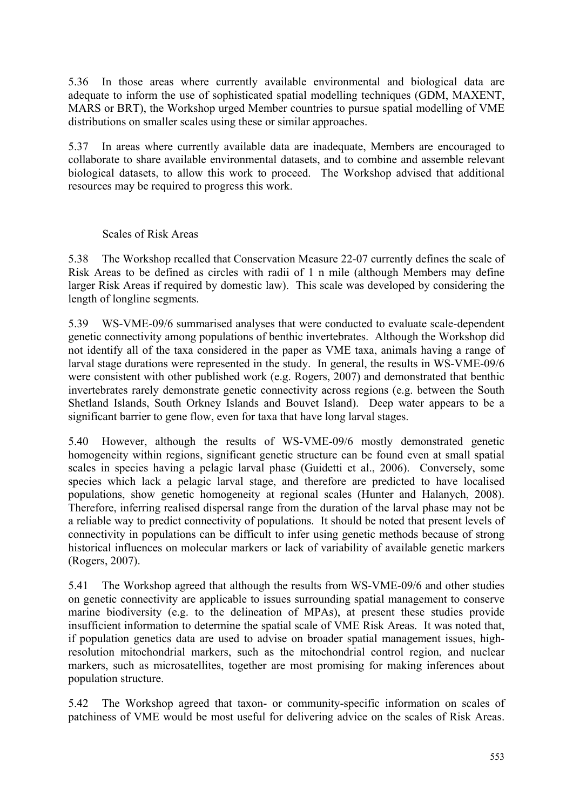5.36 In those areas where currently available environmental and biological data are adequate to inform the use of sophisticated spatial modelling techniques (GDM, MAXENT, MARS or BRT), the Workshop urged Member countries to pursue spatial modelling of VME distributions on smaller scales using these or similar approaches.

5.37 In areas where currently available data are inadequate, Members are encouraged to collaborate to share available environmental datasets, and to combine and assemble relevant biological datasets, to allow this work to proceed. The Workshop advised that additional resources may be required to progress this work.

### Scales of Risk Areas

5.38 The Workshop recalled that Conservation Measure 22-07 currently defines the scale of Risk Areas to be defined as circles with radii of 1 n mile (although Members may define larger Risk Areas if required by domestic law). This scale was developed by considering the length of longline segments.

5.39 WS-VME-09/6 summarised analyses that were conducted to evaluate scale-dependent genetic connectivity among populations of benthic invertebrates. Although the Workshop did not identify all of the taxa considered in the paper as VME taxa, animals having a range of larval stage durations were represented in the study. In general, the results in WS-VME-09/6 were consistent with other published work (e.g. Rogers, 2007) and demonstrated that benthic invertebrates rarely demonstrate genetic connectivity across regions (e.g. between the South Shetland Islands, South Orkney Islands and Bouvet Island). Deep water appears to be a significant barrier to gene flow, even for taxa that have long larval stages.

5.40 However, although the results of WS-VME-09/6 mostly demonstrated genetic homogeneity within regions, significant genetic structure can be found even at small spatial scales in species having a pelagic larval phase (Guidetti et al., 2006). Conversely, some species which lack a pelagic larval stage, and therefore are predicted to have localised populations, show genetic homogeneity at regional scales (Hunter and Halanych, 2008). Therefore, inferring realised dispersal range from the duration of the larval phase may not be a reliable way to predict connectivity of populations. It should be noted that present levels of connectivity in populations can be difficult to infer using genetic methods because of strong historical influences on molecular markers or lack of variability of available genetic markers (Rogers, 2007).

5.41 The Workshop agreed that although the results from WS-VME-09/6 and other studies on genetic connectivity are applicable to issues surrounding spatial management to conserve marine biodiversity (e.g. to the delineation of MPAs), at present these studies provide insufficient information to determine the spatial scale of VME Risk Areas. It was noted that, if population genetics data are used to advise on broader spatial management issues, highresolution mitochondrial markers, such as the mitochondrial control region, and nuclear markers, such as microsatellites, together are most promising for making inferences about population structure.

5.42 The Workshop agreed that taxon- or community-specific information on scales of patchiness of VME would be most useful for delivering advice on the scales of Risk Areas.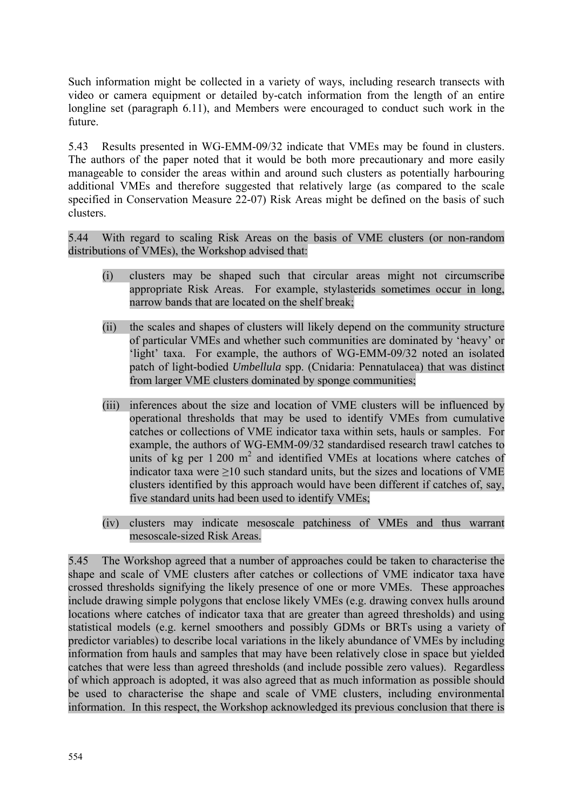Such information might be collected in a variety of ways, including research transects with video or camera equipment or detailed by-catch information from the length of an entire longline set (paragraph 6.11), and Members were encouraged to conduct such work in the future.

5.43 Results presented in WG-EMM-09/32 indicate that VMEs may be found in clusters. The authors of the paper noted that it would be both more precautionary and more easily manageable to consider the areas within and around such clusters as potentially harbouring additional VMEs and therefore suggested that relatively large (as compared to the scale specified in Conservation Measure 22-07) Risk Areas might be defined on the basis of such clusters.

5.44 With regard to scaling Risk Areas on the basis of VME clusters (or non-random distributions of VMEs), the Workshop advised that:

- (i) clusters may be shaped such that circular areas might not circumscribe appropriate Risk Areas. For example, stylasterids sometimes occur in long, narrow bands that are located on the shelf break;
- (ii) the scales and shapes of clusters will likely depend on the community structure of particular VMEs and whether such communities are dominated by 'heavy' or 'light' taxa. For example, the authors of WG-EMM-09/32 noted an isolated patch of light-bodied *Umbellula* spp. (Cnidaria: Pennatulacea) that was distinct from larger VME clusters dominated by sponge communities;
- (iii) inferences about the size and location of VME clusters will be influenced by operational thresholds that may be used to identify VMEs from cumulative catches or collections of VME indicator taxa within sets, hauls or samples. For example, the authors of WG-EMM-09/32 standardised research trawl catches to units of kg per  $1200 \text{ m}^2$  and identified VMEs at locations where catches of indicator taxa were ≥10 such standard units, but the sizes and locations of VME clusters identified by this approach would have been different if catches of, say, five standard units had been used to identify VMEs;
- (iv) clusters may indicate mesoscale patchiness of VMEs and thus warrant mesoscale-sized Risk Areas.

5.45 The Workshop agreed that a number of approaches could be taken to characterise the shape and scale of VME clusters after catches or collections of VME indicator taxa have crossed thresholds signifying the likely presence of one or more VMEs. These approaches include drawing simple polygons that enclose likely VMEs (e.g. drawing convex hulls around locations where catches of indicator taxa that are greater than agreed thresholds) and using statistical models (e.g. kernel smoothers and possibly GDMs or BRTs using a variety of predictor variables) to describe local variations in the likely abundance of VMEs by including information from hauls and samples that may have been relatively close in space but yielded catches that were less than agreed thresholds (and include possible zero values). Regardless of which approach is adopted, it was also agreed that as much information as possible should be used to characterise the shape and scale of VME clusters, including environmental information. In this respect, the Workshop acknowledged its previous conclusion that there is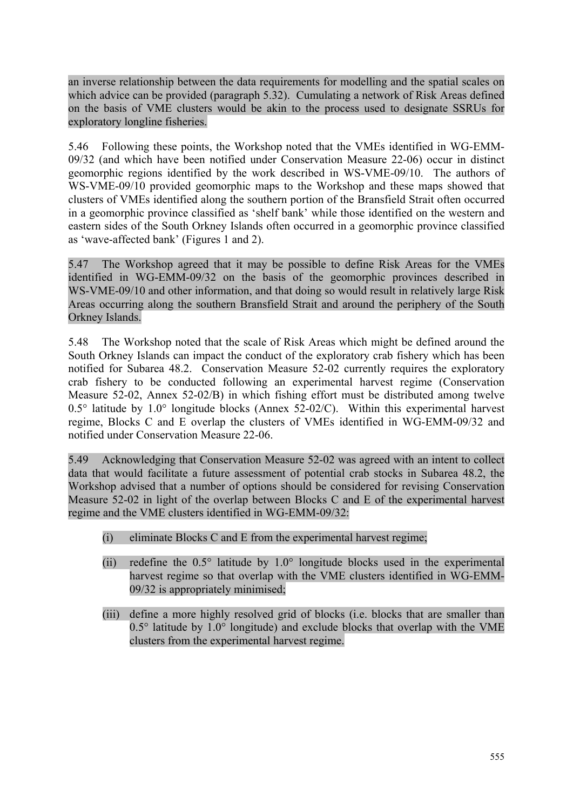an inverse relationship between the data requirements for modelling and the spatial scales on which advice can be provided (paragraph 5.32). Cumulating a network of Risk Areas defined on the basis of VME clusters would be akin to the process used to designate SSRUs for exploratory longline fisheries.

5.46 Following these points, the Workshop noted that the VMEs identified in WG-EMM-09/32 (and which have been notified under Conservation Measure 22-06) occur in distinct geomorphic regions identified by the work described in WS-VME-09/10. The authors of WS-VME-09/10 provided geomorphic maps to the Workshop and these maps showed that clusters of VMEs identified along the southern portion of the Bransfield Strait often occurred in a geomorphic province classified as 'shelf bank' while those identified on the western and eastern sides of the South Orkney Islands often occurred in a geomorphic province classified as 'wave-affected bank' (Figures 1 and 2).

5.47 The Workshop agreed that it may be possible to define Risk Areas for the VMEs identified in WG-EMM-09/32 on the basis of the geomorphic provinces described in WS-VME-09/10 and other information, and that doing so would result in relatively large Risk Areas occurring along the southern Bransfield Strait and around the periphery of the South Orkney Islands.

5.48 The Workshop noted that the scale of Risk Areas which might be defined around the South Orkney Islands can impact the conduct of the exploratory crab fishery which has been notified for Subarea 48.2. Conservation Measure 52-02 currently requires the exploratory crab fishery to be conducted following an experimental harvest regime (Conservation Measure 52-02, Annex 52-02/B) in which fishing effort must be distributed among twelve  $0.5^{\circ}$  latitude by  $1.0^{\circ}$  longitude blocks (Annex 52-02/C). Within this experimental harvest regime, Blocks C and E overlap the clusters of VMEs identified in WG-EMM-09/32 and notified under Conservation Measure 22-06.

5.49 Acknowledging that Conservation Measure 52-02 was agreed with an intent to collect data that would facilitate a future assessment of potential crab stocks in Subarea 48.2, the Workshop advised that a number of options should be considered for revising Conservation Measure 52-02 in light of the overlap between Blocks C and E of the experimental harvest regime and the VME clusters identified in WG-EMM-09/32:

- (i) eliminate Blocks C and E from the experimental harvest regime;
- (ii) redefine the  $0.5^\circ$  latitude by  $1.0^\circ$  longitude blocks used in the experimental harvest regime so that overlap with the VME clusters identified in WG-EMM-09/32 is appropriately minimised;
- (iii) define a more highly resolved grid of blocks (i.e. blocks that are smaller than  $0.5^{\circ}$  latitude by  $1.0^{\circ}$  longitude) and exclude blocks that overlap with the VME clusters from the experimental harvest regime.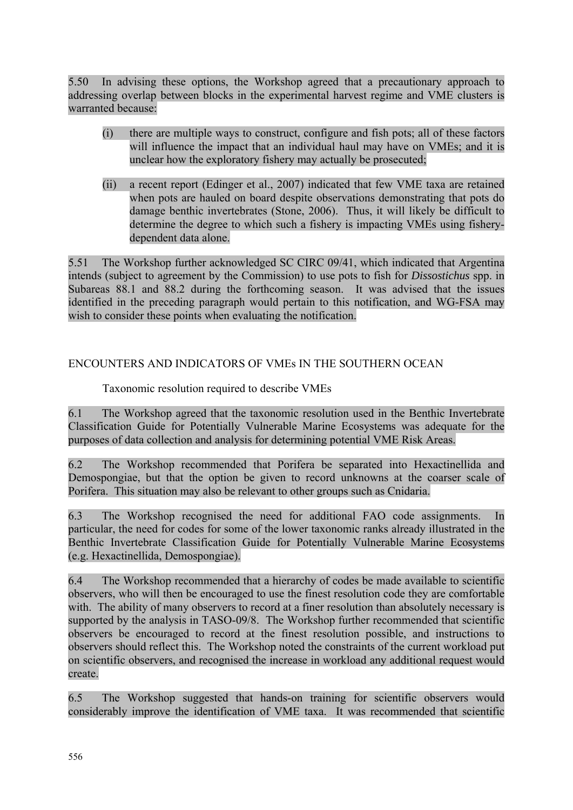<span id="page-19-0"></span>5.50 In advising these options, the Workshop agreed that a precautionary approach to addressing overlap between blocks in the experimental harvest regime and VME clusters is warranted because:

- (i) there are multiple ways to construct, configure and fish pots; all of these factors will influence the impact that an individual haul may have on VMEs; and it is unclear how the exploratory fishery may actually be prosecuted;
- (ii) a recent report (Edinger et al., 2007) indicated that few VME taxa are retained when pots are hauled on board despite observations demonstrating that pots do damage benthic invertebrates (Stone, 2006). Thus, it will likely be difficult to determine the degree to which such a fishery is impacting VMEs using fisherydependent data alone.

5.51 The Workshop further acknowledged SC CIRC 09/41, which indicated that Argentina intends (subject to agreement by the Commission) to use pots to fish for *Dissostichus* spp. in Subareas 88.1 and 88.2 during the forthcoming season. It was advised that the issues identified in the preceding paragraph would pertain to this notification, and WG-FSA may wish to consider these points when evaluating the notification.

# ENCOUNTERS AND INDICATORS OF VMEs IN THE SOUTHERN OCEAN

# Taxonomic resolution required to describe VMEs

6.1 The Workshop agreed that the taxonomic resolution used in the Benthic Invertebrate Classification Guide for Potentially Vulnerable Marine Ecosystems was adequate for the purposes of data collection and analysis for determining potential VME Risk Areas.

6.2 The Workshop recommended that Porifera be separated into Hexactinellida and Demospongiae, but that the option be given to record unknowns at the coarser scale of Porifera. This situation may also be relevant to other groups such as Cnidaria.

6.3 The Workshop recognised the need for additional FAO code assignments. In particular, the need for codes for some of the lower taxonomic ranks already illustrated in the Benthic Invertebrate Classification Guide for Potentially Vulnerable Marine Ecosystems (e.g. Hexactinellida, Demospongiae).

6.4 The Workshop recommended that a hierarchy of codes be made available to scientific observers, who will then be encouraged to use the finest resolution code they are comfortable with. The ability of many observers to record at a finer resolution than absolutely necessary is supported by the analysis in TASO-09/8. The Workshop further recommended that scientific observers be encouraged to record at the finest resolution possible, and instructions to observers should reflect this. The Workshop noted the constraints of the current workload put on scientific observers, and recognised the increase in workload any additional request would create.

6.5 The Workshop suggested that hands-on training for scientific observers would considerably improve the identification of VME taxa. It was recommended that scientific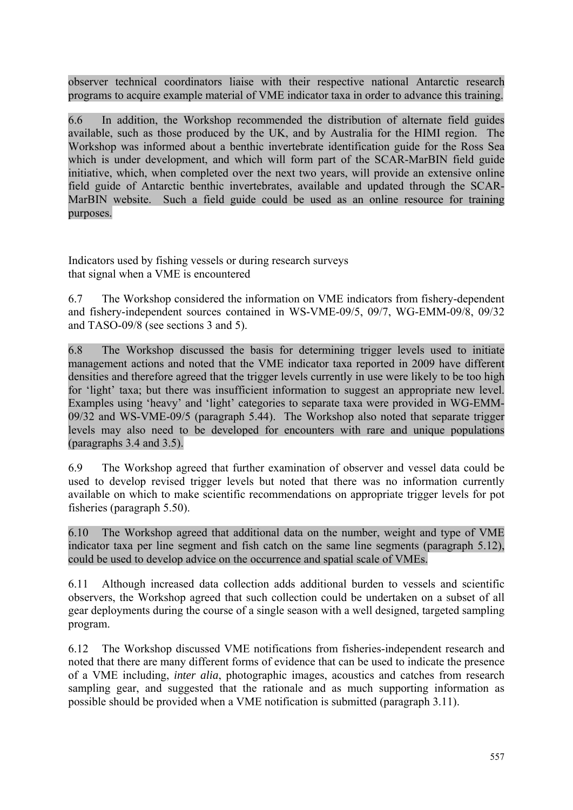observer technical coordinators liaise with their respective national Antarctic research programs to acquire example material of VME indicator taxa in order to advance this training.

6.6 In addition, the Workshop recommended the distribution of alternate field guides available, such as those produced by the UK, and by Australia for the HIMI region. The Workshop was informed about a benthic invertebrate identification guide for the Ross Sea which is under development, and which will form part of the SCAR-MarBIN field guide initiative, which, when completed over the next two years, will provide an extensive online field guide of Antarctic benthic invertebrates, available and updated through the SCAR-MarBIN website. Such a field guide could be used as an online resource for training purposes.

Indicators used by fishing vessels or during research surveys that signal when a VME is encountered

6.7 The Workshop considered the information on VME indicators from fishery-dependent and fishery-independent sources contained in WS-VME-09/5, 09/7, WG-EMM-09/8, 09/32 and TASO-09/8 (see sections 3 and 5).

6.8 The Workshop discussed the basis for determining trigger levels used to initiate management actions and noted that the VME indicator taxa reported in 2009 have different densities and therefore agreed that the trigger levels currently in use were likely to be too high for 'light' taxa; but there was insufficient information to suggest an appropriate new level. Examples using 'heavy' and 'light' categories to separate taxa were provided in WG-EMM-09/32 and WS-VME-09/5 (paragraph 5.44). The Workshop also noted that separate trigger levels may also need to be developed for encounters with rare and unique populations (paragraphs 3.4 and 3.5).

6.9 The Workshop agreed that further examination of observer and vessel data could be used to develop revised trigger levels but noted that there was no information currently available on which to make scientific recommendations on appropriate trigger levels for pot fisheries (paragraph 5.50).

6.10 The Workshop agreed that additional data on the number, weight and type of VME indicator taxa per line segment and fish catch on the same line segments (paragraph 5.12), could be used to develop advice on the occurrence and spatial scale of VMEs.

6.11 Although increased data collection adds additional burden to vessels and scientific observers, the Workshop agreed that such collection could be undertaken on a subset of all gear deployments during the course of a single season with a well designed, targeted sampling program.

6.12 The Workshop discussed VME notifications from fisheries-independent research and noted that there are many different forms of evidence that can be used to indicate the presence of a VME including, *inter alia*, photographic images, acoustics and catches from research sampling gear, and suggested that the rationale and as much supporting information as possible should be provided when a VME notification is submitted (paragraph 3.11).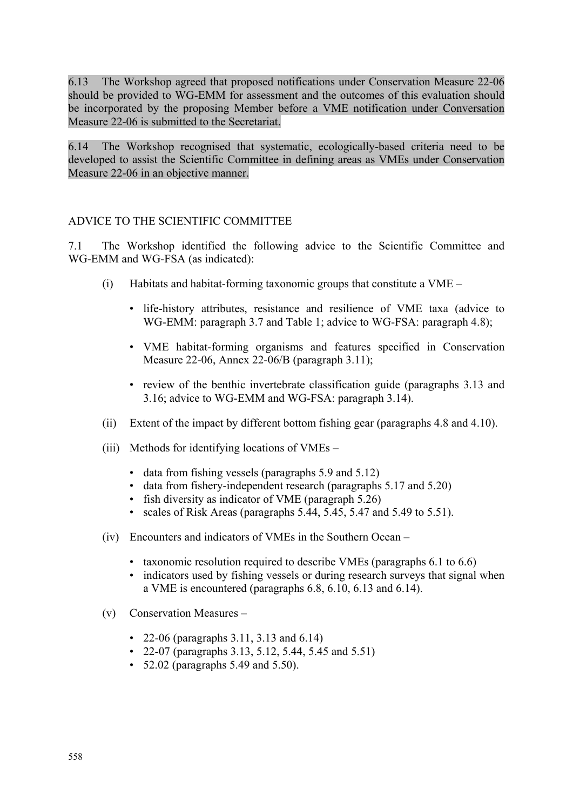<span id="page-21-0"></span>6.13 The Workshop agreed that proposed notifications under Conservation Measure 22-06 should be provided to WG-EMM for assessment and the outcomes of this evaluation should be incorporated by the proposing Member before a VME notification under Conversation Measure 22-06 is submitted to the Secretariat.

6.14 The Workshop recognised that systematic, ecologically-based criteria need to be developed to assist the Scientific Committee in defining areas as VMEs under Conservation Measure 22-06 in an objective manner.

# ADVICE TO THE SCIENTIFIC COMMITTEE

7.1 The Workshop identified the following advice to the Scientific Committee and WG-EMM and WG-FSA (as indicated):

- (i) Habitats and habitat-forming taxonomic groups that constitute a VME
	- life-history attributes, resistance and resilience of VME taxa (advice to WG-EMM: paragraph 3.7 and Table 1; advice to WG-FSA: paragraph 4.8);
	- VME habitat-forming organisms and features specified in Conservation Measure 22-06, Annex 22-06/B (paragraph 3.11);
	- review of the benthic invertebrate classification guide (paragraphs 3.13 and 3.16; advice to WG-EMM and WG-FSA: paragraph 3.14).
- (ii) Extent of the impact by different bottom fishing gear (paragraphs 4.8 and 4.10).
- (iii) Methods for identifying locations of VMEs
	- data from fishing vessels (paragraphs 5.9 and 5.12)
	- data from fishery-independent research (paragraphs 5.17 and 5.20)
	- fish diversity as indicator of VME (paragraph 5.26)
	- scales of Risk Areas (paragraphs 5.44, 5.45, 5.47 and 5.49 to 5.51).
- (iv) Encounters and indicators of VMEs in the Southern Ocean
	- taxonomic resolution required to describe VMEs (paragraphs 6.1 to 6.6)
	- indicators used by fishing vessels or during research surveys that signal when a VME is encountered (paragraphs 6.8, 6.10, 6.13 and 6.14).
- (v) Conservation Measures
	- 22-06 (paragraphs 3.11, 3.13 and 6.14)
	- 22-07 (paragraphs 3.13, 5.12, 5.44, 5.45 and 5.51)
	- 52.02 (paragraphs 5.49 and 5.50).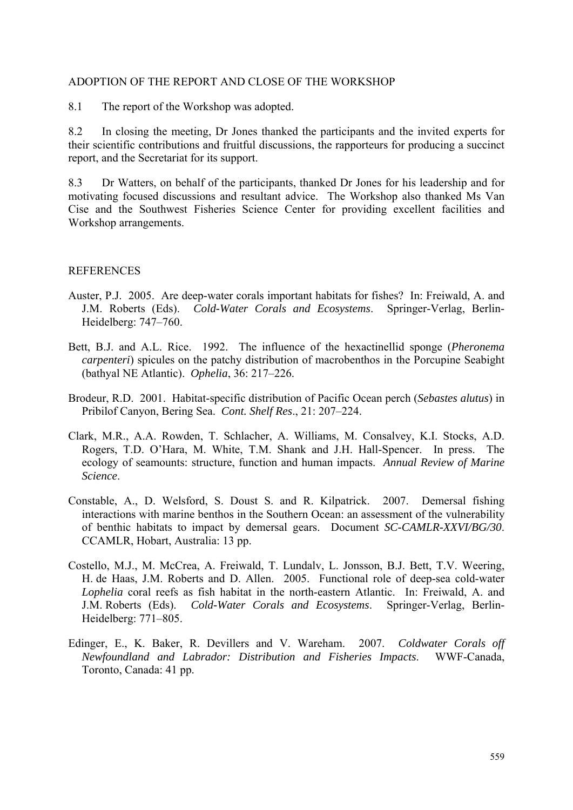#### <span id="page-22-0"></span>ADOPTION OF THE REPORT AND CLOSE OF THE WORKSHOP

8.1 The report of the Workshop was adopted.

8.2 In closing the meeting, Dr Jones thanked the participants and the invited experts for their scientific contributions and fruitful discussions, the rapporteurs for producing a succinct report, and the Secretariat for its support.

8.3 Dr Watters, on behalf of the participants, thanked Dr Jones for his leadership and for motivating focused discussions and resultant advice. The Workshop also thanked Ms Van Cise and the Southwest Fisheries Science Center for providing excellent facilities and Workshop arrangements.

#### REFERENCES

- Auster, P.J. 2005. Are deep-water corals important habitats for fishes? In: Freiwald, A. and J.M. Roberts (Eds). *Cold-Water Corals and Ecosystems*. Springer-Verlag, Berlin-Heidelberg: 747–760.
- Bett, B.J. and A.L. Rice. 1992. The influence of the hexactinellid sponge (*Pheronema carpenteri*) spicules on the patchy distribution of macrobenthos in the Porcupine Seabight (bathyal NE Atlantic). *Ophelia*, 36: 217–226.
- Brodeur, R.D. 2001. Habitat-specific distribution of Pacific Ocean perch (*Sebastes alutus*) in Pribilof Canyon, Bering Sea. *Cont. Shelf Res*., 21: 207–224.
- Clark, M.R., A.A. Rowden, T. Schlacher, A. Williams, M. Consalvey, K.I. Stocks, A.D. Rogers, T.D. O'Hara, M. White, T.M. Shank and J.H. Hall-Spencer. In press. The ecology of seamounts: structure, function and human impacts. *Annual Review of Marine Science*.
- Constable, A., D. Welsford, S. Doust S. and R. Kilpatrick. 2007. Demersal fishing interactions with marine benthos in the Southern Ocean: an assessment of the vulnerability of benthic habitats to impact by demersal gears. Document *SC-CAMLR-XXVI/BG/30*. CCAMLR, Hobart, Australia: 13 pp.
- Costello, M.J., M. McCrea, A. Freiwald, T. Lundalv, L. Jonsson, B.J. Bett, T.V. Weering, H. de Haas, J.M. Roberts and D. Allen. 2005. Functional role of deep-sea cold-water *Lophelia* coral reefs as fish habitat in the north-eastern Atlantic. In: Freiwald, A. and J.M. Roberts (Eds). *Cold-Water Corals and Ecosystems*. Springer-Verlag, Berlin-Heidelberg: 771–805.
- Edinger, E., K. Baker, R. Devillers and V. Wareham. 2007. *Coldwater Corals off Newfoundland and Labrador: Distribution and Fisheries Impacts*. WWF-Canada, Toronto, Canada: 41 pp.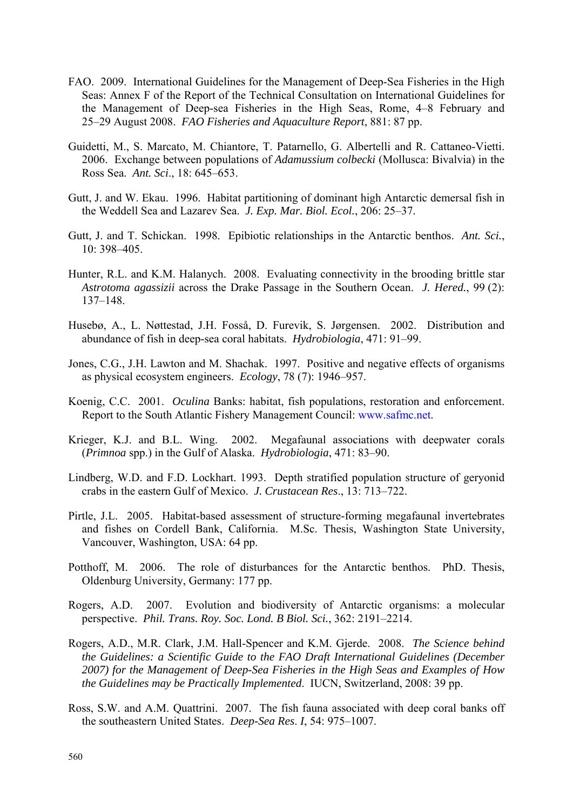- FAO. 2009. International Guidelines for the Management of Deep-Sea Fisheries in the High Seas: Annex F of the Report of the Technical Consultation on International Guidelines for the Management of Deep-sea Fisheries in the High Seas, Rome, 4–8 February and 25–29 August 2008. *FAO Fisheries and Aquaculture Report*, 881: 87 pp.
- Guidetti, M., S. Marcato, M. Chiantore, T. Patarnello, G. Albertelli and R. Cattaneo-Vietti. 2006. Exchange between populations of *Adamussium colbecki* (Mollusca: Bivalvia) in the Ross Sea. *Ant. Sci*., 18: 645–653.
- Gutt, J. and W. Ekau. 1996. Habitat partitioning of dominant high Antarctic demersal fish in the Weddell Sea and Lazarev Sea. *J. Exp. Mar. Biol. Ecol.*, 206: 25–37.
- Gutt, J. and T. Schickan. 1998. Epibiotic relationships in the Antarctic benthos. *Ant. Sci.*, 10: 398–405.
- Hunter, R.L. and K.M. Halanych. 2008. Evaluating connectivity in the brooding brittle star *Astrotoma agassizii* across the Drake Passage in the Southern Ocean. *J. Hered.*, 99 (2): 137–148.
- Husebø, A., L. Nøttestad, J.H. Fosså, D. Furevik, S. Jørgensen. 2002. Distribution and abundance of fish in deep-sea coral habitats. *Hydrobiologia*, 471: 91–99.
- Jones, C.G., J.H. Lawton and M. Shachak. 1997. Positive and negative effects of organisms as physical ecosystem engineers. *Ecology*, 78 (7): 1946–957.
- Koenig, C.C. 2001. *Oculina* Banks: habitat, fish populations, restoration and enforcement. Report to the South Atlantic Fishery Management Council: www.safmc.net.
- Krieger, K.J. and B.L. Wing. 2002. Megafaunal associations with deepwater corals (*Primnoa* spp.) in the Gulf of Alaska. *Hydrobiologia*, 471: 83–90.
- Lindberg, W.D. and F.D. Lockhart. 1993. Depth stratified population structure of geryonid crabs in the eastern Gulf of Mexico. *J. Crustacean Res*., 13: 713–722.
- Pirtle, J.L. 2005. Habitat-based assessment of structure-forming megafaunal invertebrates and fishes on Cordell Bank, California. M.Sc. Thesis, Washington State University, Vancouver, Washington, USA: 64 pp.
- Potthoff, M. 2006. The role of disturbances for the Antarctic benthos. PhD. Thesis, Oldenburg University, Germany: 177 pp.
- Rogers, A.D. 2007. Evolution and biodiversity of Antarctic organisms: a molecular perspective. *Phil. Trans. Roy. Soc. Lond. B Biol. Sci.*, 362: 2191–2214.
- Rogers, A.D., M.R. Clark, J.M. Hall-Spencer and K.M. Gjerde. 2008. *The Science behind the Guidelines: a Scientific Guide to the FAO Draft International Guidelines (December 2007) for the Management of Deep-Sea Fisheries in the High Seas and Examples of How the Guidelines may be Practically Implemented*. IUCN, Switzerland, 2008: 39 pp.
- Ross, S.W. and A.M. Quattrini. 2007. The fish fauna associated with deep coral banks off the southeastern United States. *Deep-Sea Res*. *I*, 54: 975–1007.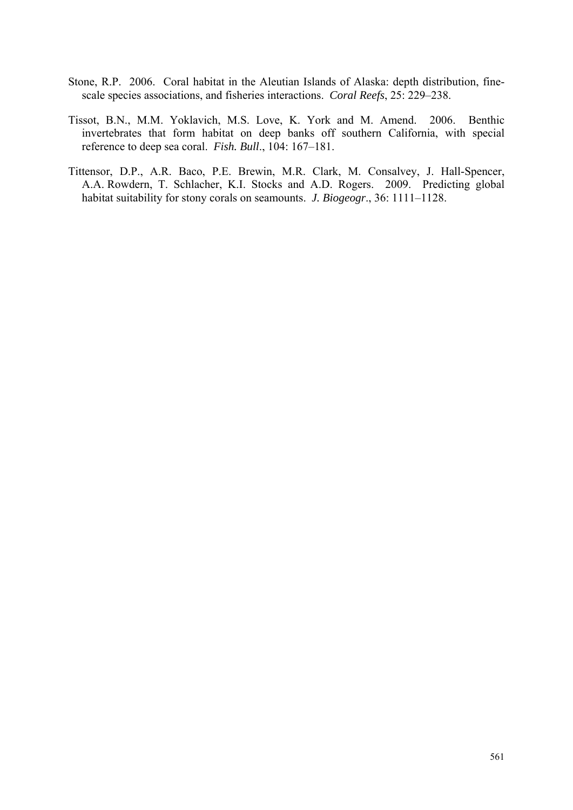- Stone, R.P. 2006. Coral habitat in the Aleutian Islands of Alaska: depth distribution, finescale species associations, and fisheries interactions. *Coral Reefs*, 25: 229–238.
- Tissot, B.N., M.M. Yoklavich, M.S. Love, K. York and M. Amend. 2006. Benthic invertebrates that form habitat on deep banks off southern California, with special reference to deep sea coral. *Fish. Bull*., 104: 167–181.
- Tittensor, D.P., A.R. Baco, P.E. Brewin, M.R. Clark, M. Consalvey, J. Hall-Spencer, A.A. Rowdern, T. Schlacher, K.I. Stocks and A.D. Rogers. 2009. Predicting global habitat suitability for stony corals on seamounts. *J. Biogeogr*., 36: 1111–1128.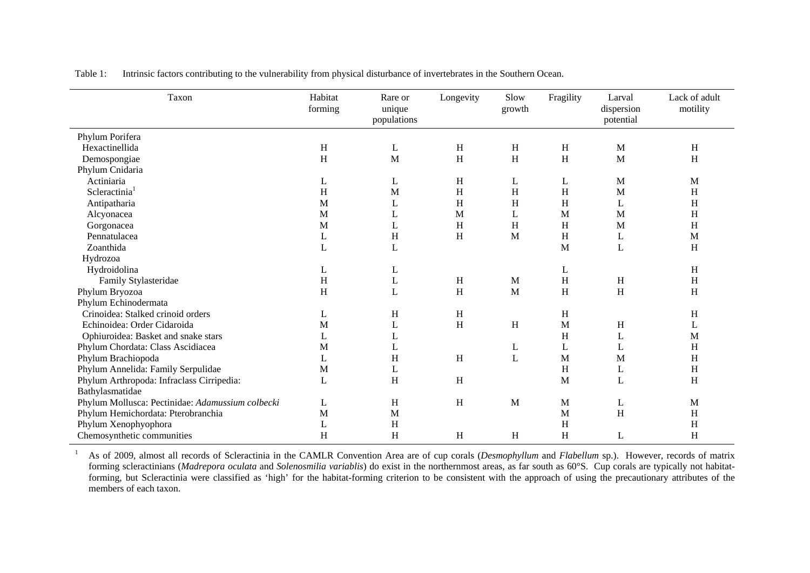| Taxon                                            | Habitat<br>forming | Rare or<br>unique<br>populations | Longevity    | Slow<br>growth            | Fragility | Larval<br>dispersion<br>potential | Lack of adult<br>motility |
|--------------------------------------------------|--------------------|----------------------------------|--------------|---------------------------|-----------|-----------------------------------|---------------------------|
| Phylum Porifera                                  |                    |                                  |              |                           |           |                                   |                           |
| Hexactinellida                                   | $\,$ H             | L                                | H            | $\boldsymbol{\mathrm{H}}$ | H         | M                                 | H                         |
| Demospongiae                                     | H                  | M                                | H            | H                         | H         | M                                 | H                         |
| Phylum Cnidaria                                  |                    |                                  |              |                           |           |                                   |                           |
| Actiniaria                                       | L                  | L                                | H            | L                         | L         | M                                 | M                         |
| Scleractinia <sup>1</sup>                        | H                  | M                                | H            | $\,$ H                    | H         | M                                 | $H_{\rm}$                 |
| Antipatharia                                     | M                  | L                                | H            | $H_{\rm}$                 | H         | L                                 | H                         |
| Alcyonacea                                       | M                  | L                                | M            | L                         | M         | M                                 | $H_{\rm}$                 |
| Gorgonacea                                       | M                  | L                                | H            | H                         | H         | M                                 | $H_{\rm}$                 |
| Pennatulacea                                     | L                  | H                                | H            | M                         | H         | L                                 | M                         |
| Zoanthida                                        | $\mathbf L$        | $\mathbf L$                      |              |                           | M         | L                                 | $H_{\rm}$                 |
| Hydrozoa                                         |                    |                                  |              |                           |           |                                   |                           |
| Hydroidolina                                     | L                  | L                                |              |                           | L         |                                   | $H_{\rm}$                 |
| Family Stylasteridae                             | H                  | L                                | $\, {\rm H}$ | M                         | H         | H                                 | H                         |
| Phylum Bryozoa                                   | H                  | L                                | H            | $\mathbf{M}$              | H         | H                                 | H                         |
| Phylum Echinodermata                             |                    |                                  |              |                           |           |                                   |                           |
| Crinoidea: Stalked crinoid orders                | L                  | H                                | H            |                           | H         |                                   | H                         |
| Echinoidea: Order Cidaroida                      | M                  | L                                | $\,$ H       | $\, {\rm H}$              | M         | H                                 | L                         |
| Ophiuroidea: Basket and snake stars              | L                  | L                                |              |                           | H         | L                                 | M                         |
| Phylum Chordata: Class Ascidiacea                | M                  | L                                |              | L                         | L         | L                                 | H                         |
| Phylum Brachiopoda                               | L                  | H                                | H            | L                         | M         | M                                 | $H_{\rm}$                 |
| Phylum Annelida: Family Serpulidae               | M                  | L                                |              |                           | H         | L                                 | H                         |
| Phylum Arthropoda: Infraclass Cirripedia:        | $\mathbf L$        | H                                | H            |                           | M         | L                                 | H                         |
| Bathylasmatidae                                  |                    |                                  |              |                           |           |                                   |                           |
| Phylum Mollusca: Pectinidae: Adamussium colbecki | L                  | H                                | H            | M                         | M         | L                                 | M                         |
| Phylum Hemichordata: Pterobranchia               | M                  | M                                |              |                           | M         | H                                 | H                         |
| Phylum Xenophyophora                             | L                  | H                                |              |                           | H         |                                   | $H_{\rm}$                 |
| Chemosynthetic communities                       | H                  | H                                | H            | H                         | H         | L                                 | H                         |

<span id="page-25-0"></span>Table 1: Intrinsic factors contributing to the vulnerability from physical disturbance of invertebrates in the Southern Ocean.

<sup>1</sup> As of 2009, almost all records of Scleractinia in the CAMLR Convention Area are of cup corals (*Desmophyllum* and *Flabellum* sp.). However, records of matrix forming scleractinians (*Madrepora oculata* and *Solenosmilia variablis*) do exist in the northernmost areas, as far south as 60°S. Cup corals are typically not habitatforming, but Scleractinia were classified as 'high' for the habitat-forming criterion to be consistent with the approach of using the precautionary attributes of the members of each taxon.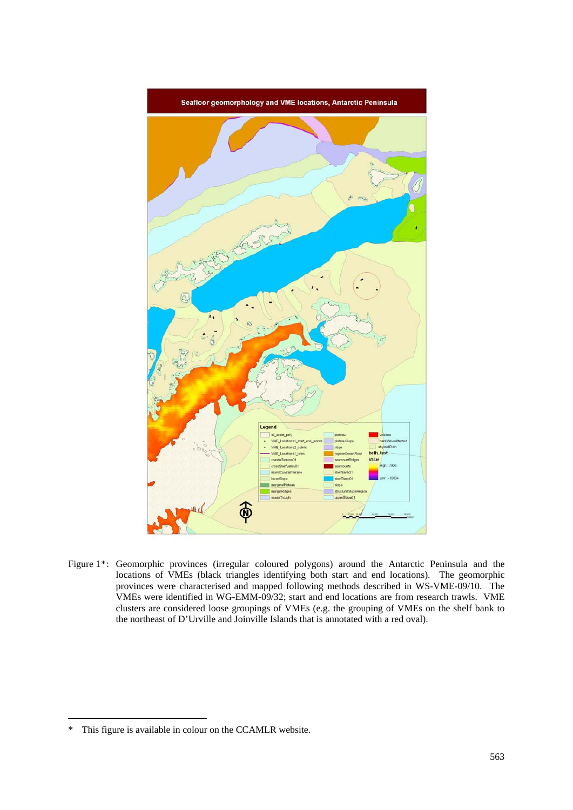<span id="page-26-0"></span>

Figure 1\*: Geomorphic provinces (irregular coloured polygons) around the Antarctic Peninsula and the locations of VMEs (black triangles identifying both start and end locations). The geomorphic provinces were characterised and mapped following methods described in WS-VME-09/10. The VMEs were identified in WG-EMM-09/32; start and end locations are from research trawls. VME clusters are considered loose groupings of VMEs (e.g. the grouping of VMEs on the shelf bank to the northeast of D'Urville and Joinville Islands that is annotated with a red oval).

1

<sup>\*</sup> This figure is available in colour on the CCAMLR website.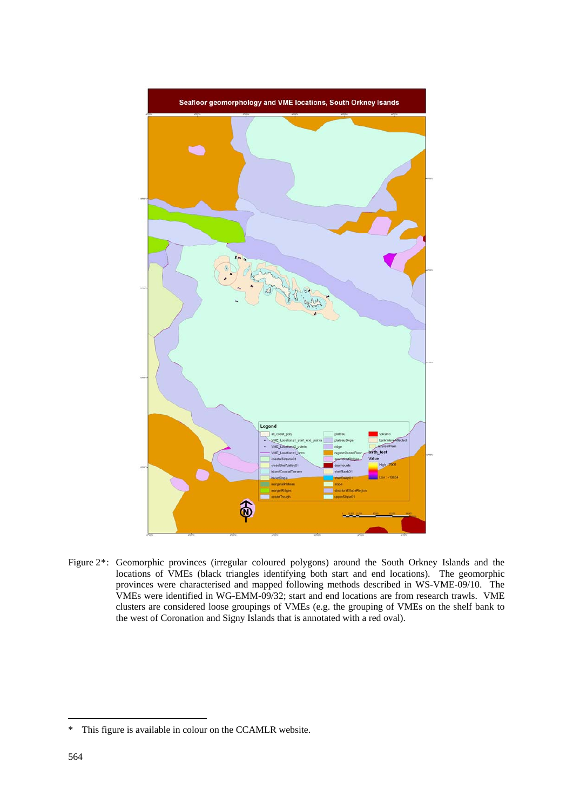

Figure 2\*: Geomorphic provinces (irregular coloured polygons) around the South Orkney Islands and the locations of VMEs (black triangles identifying both start and end locations). The geomorphic provinces were characterised and mapped following methods described in WS-VME-09/10. The VMEs were identified in WG-EMM-09/32; start and end locations are from research trawls. VME clusters are considered loose groupings of VMEs (e.g. the grouping of VMEs on the shelf bank to the west of Coronation and Signy Islands that is annotated with a red oval).

1

<sup>\*</sup> This figure is available in colour on the CCAMLR website.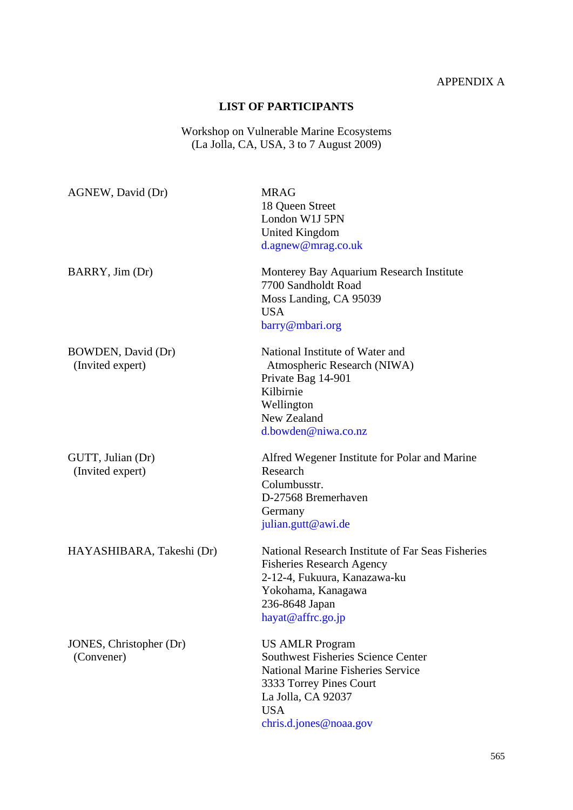# APPENDIX A

## **LIST OF PARTICIPANTS**

Workshop on Vulnerable Marine Ecosystems (La Jolla, CA, USA, 3 to 7 August 2009)

<span id="page-28-0"></span>

| AGNEW, David (Dr)                      | <b>MRAG</b><br>18 Queen Street<br>London W1J 5PN<br><b>United Kingdom</b><br>d.agnew@mrag.co.uk                                                                                                          |
|----------------------------------------|----------------------------------------------------------------------------------------------------------------------------------------------------------------------------------------------------------|
| BARRY, Jim (Dr)                        | Monterey Bay Aquarium Research Institute<br>7700 Sandholdt Road<br>Moss Landing, CA 95039<br><b>USA</b><br>barry@mbari.org                                                                               |
| BOWDEN, David (Dr)<br>(Invited expert) | National Institute of Water and<br>Atmospheric Research (NIWA)<br>Private Bag 14-901<br>Kilbirnie<br>Wellington<br>New Zealand<br>d.bowden@niwa.co.nz                                                    |
| GUTT, Julian (Dr)<br>(Invited expert)  | Alfred Wegener Institute for Polar and Marine<br>Research<br>Columbusstr.<br>D-27568 Bremerhaven<br>Germany<br>julian.gutt@awi.de                                                                        |
| HAYASHIBARA, Takeshi (Dr)              | National Research Institute of Far Seas Fisheries<br><b>Fisheries Research Agency</b><br>2-12-4, Fukuura, Kanazawa-ku<br>Yokohama, Kanagawa<br>236-8648 Japan<br>hayat@affrc.go.jp                       |
| JONES, Christopher (Dr)<br>(Convener)  | <b>US AMLR Program</b><br><b>Southwest Fisheries Science Center</b><br><b>National Marine Fisheries Service</b><br>3333 Torrey Pines Court<br>La Jolla, CA 92037<br><b>USA</b><br>chris.d.jones@noaa.gov |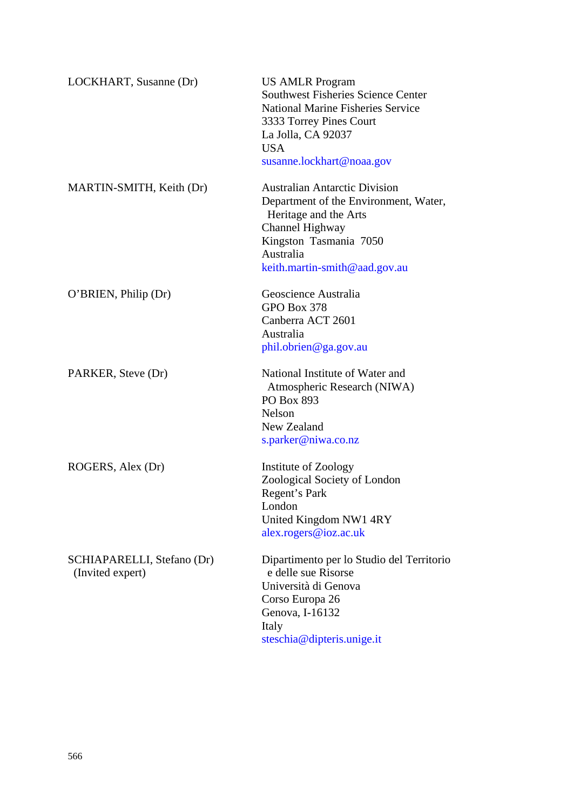| LOCKHART, Susanne (Dr)                         | <b>US AMLR Program</b><br><b>Southwest Fisheries Science Center</b><br><b>National Marine Fisheries Service</b><br>3333 Torrey Pines Court<br>La Jolla, CA 92037<br><b>USA</b><br>susanne.lockhart@noaa.gov |
|------------------------------------------------|-------------------------------------------------------------------------------------------------------------------------------------------------------------------------------------------------------------|
| MARTIN-SMITH, Keith (Dr)                       | <b>Australian Antarctic Division</b><br>Department of the Environment, Water,<br>Heritage and the Arts<br>Channel Highway<br>Kingston Tasmania 7050<br>Australia<br>keith.martin-smith@aad.gov.au           |
| O'BRIEN, Philip (Dr)                           | Geoscience Australia<br>GPO Box 378<br>Canberra ACT 2601<br>Australia<br>phil.obrien@ga.gov.au                                                                                                              |
| PARKER, Steve (Dr)                             | National Institute of Water and<br>Atmospheric Research (NIWA)<br>PO Box 893<br><b>Nelson</b><br>New Zealand<br>s.parker@niwa.co.nz                                                                         |
| ROGERS, Alex (Dr)                              | Institute of Zoology<br>Zoological Society of London<br>Regent's Park<br>London<br>United Kingdom NW1 4RY<br>alex.rogers@ioz.ac.uk                                                                          |
| SCHIAPARELLI, Stefano (Dr)<br>(Invited expert) | Dipartimento per lo Studio del Territorio<br>e delle sue Risorse<br>Università di Genova<br>Corso Europa 26<br>Genova, I-16132<br>Italy<br>steschia@dipteris.unige.it                                       |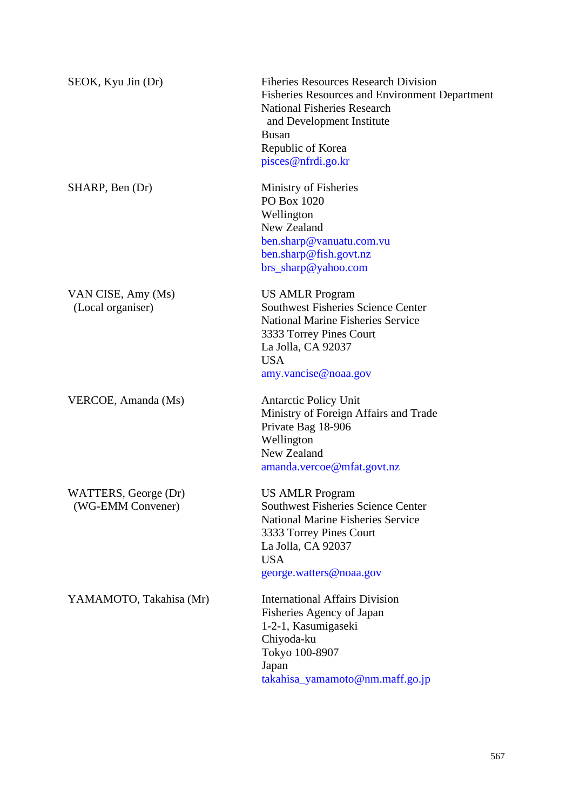| SEOK, Kyu Jin (Dr)                        | <b>Fiheries Resources Research Division</b><br><b>Fisheries Resources and Environment Department</b><br>National Fisheries Research<br>and Development Institute<br><b>Busan</b><br>Republic of Korea<br>pisces@nfrdi.go.kr |
|-------------------------------------------|-----------------------------------------------------------------------------------------------------------------------------------------------------------------------------------------------------------------------------|
| SHARP, Ben (Dr)                           | Ministry of Fisheries<br>PO Box 1020<br>Wellington<br>New Zealand<br>ben.sharp@vanuatu.com.vu<br>ben.sharp@fish.govt.nz<br>brs_sharp@yahoo.com                                                                              |
| VAN CISE, Amy (Ms)<br>(Local organiser)   | <b>US AMLR Program</b><br><b>Southwest Fisheries Science Center</b><br><b>National Marine Fisheries Service</b><br>3333 Torrey Pines Court<br>La Jolla, CA 92037<br><b>USA</b><br>amy.vancise@noaa.gov                      |
| VERCOE, Amanda (Ms)                       | <b>Antarctic Policy Unit</b><br>Ministry of Foreign Affairs and Trade<br>Private Bag 18-906<br>Wellington<br>New Zealand<br>amanda.vercoe@mfat.govt.nz                                                                      |
| WATTERS, George (Dr)<br>(WG-EMM Convener) | <b>US AMLR Program</b><br><b>Southwest Fisheries Science Center</b><br><b>National Marine Fisheries Service</b><br>3333 Torrey Pines Court<br>La Jolla, CA 92037<br><b>USA</b><br>george.watters@noaa.gov                   |
| YAMAMOTO, Takahisa (Mr)                   | <b>International Affairs Division</b><br>Fisheries Agency of Japan<br>1-2-1, Kasumigaseki<br>Chiyoda-ku<br>Tokyo 100-8907<br>Japan<br>takahisa_yamamoto@nm.maff.go.jp                                                       |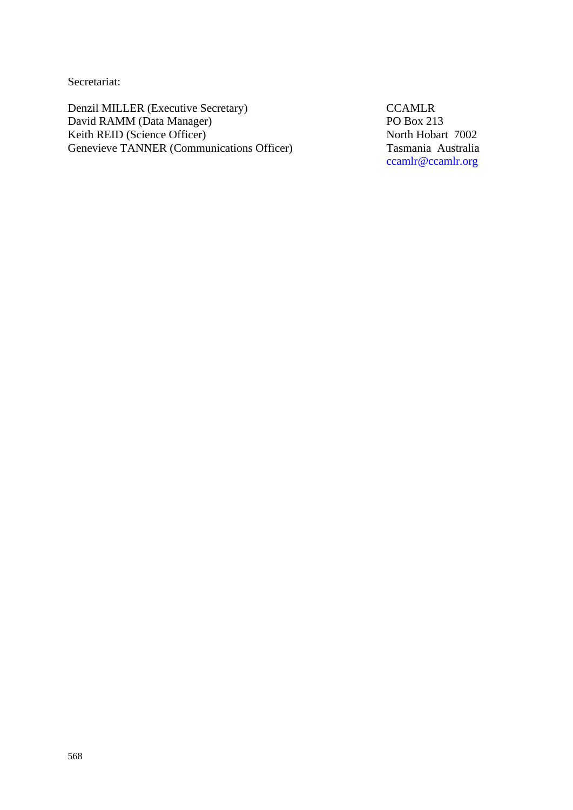Secretariat:

Denzil MILLER (Executive Secretary) CCAMLR<br>David RAMM (Data Manager) PO Box 213 David RAMM (Data Manager) PO Box 213<br>
Reith REID (Science Officer) PO Box 213 Keith REID (Science Officer)<br>
Genevieve TANNER (Communications Officer)<br>
Tasmania Australia Genevieve TANNER (Communications Officer)

ccamlr@ccamlr.org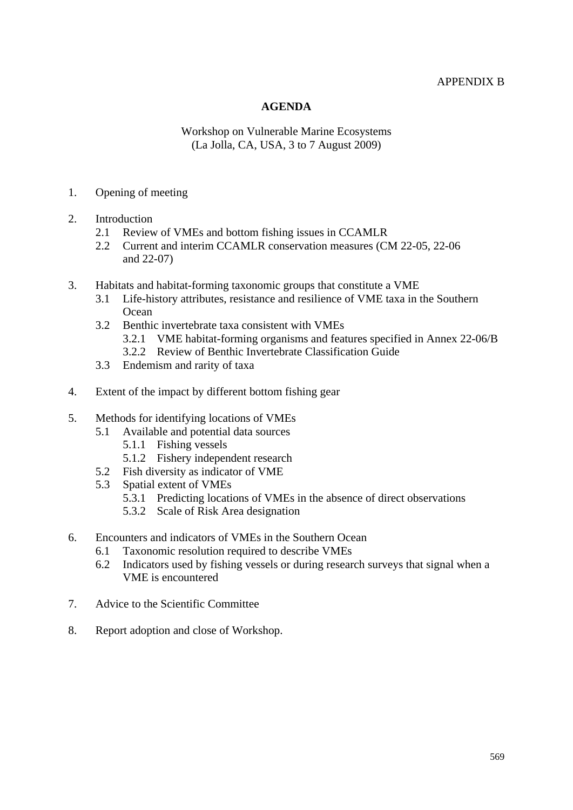### APPENDIX B

## **AGENDA**

### Workshop on Vulnerable Marine Ecosystems (La Jolla, CA, USA, 3 to 7 August 2009)

#### <span id="page-32-0"></span>1. Opening of meeting

- 2. Introduction
	- 2.1 Review of VMEs and bottom fishing issues in CCAMLR
	- 2.2 Current and interim CCAMLR conservation measures (CM 22-05, 22-06 and 22-07)
- 3. Habitats and habitat-forming taxonomic groups that constitute a VME
	- 3.1 Life-history attributes, resistance and resilience of VME taxa in the Southern **Ocean**
	- 3.2 Benthic invertebrate taxa consistent with VMEs
		- 3.2.1 VME habitat-forming organisms and features specified in Annex 22-06/B
		- 3.2.2 Review of Benthic Invertebrate Classification Guide
	- 3.3 Endemism and rarity of taxa
- 4. Extent of the impact by different bottom fishing gear
- 5. Methods for identifying locations of VMEs
	- 5.1 Available and potential data sources
		- 5.1.1 Fishing vessels
		- 5.1.2 Fishery independent research
	- 5.2 Fish diversity as indicator of VME
	- 5.3 Spatial extent of VMEs
		- 5.3.1 Predicting locations of VMEs in the absence of direct observations
		- 5.3.2 Scale of Risk Area designation
- 6. Encounters and indicators of VMEs in the Southern Ocean
	- 6.1 Taxonomic resolution required to describe VMEs
	- 6.2 Indicators used by fishing vessels or during research surveys that signal when a VME is encountered
- 7. Advice to the Scientific Committee
- 8. Report adoption and close of Workshop.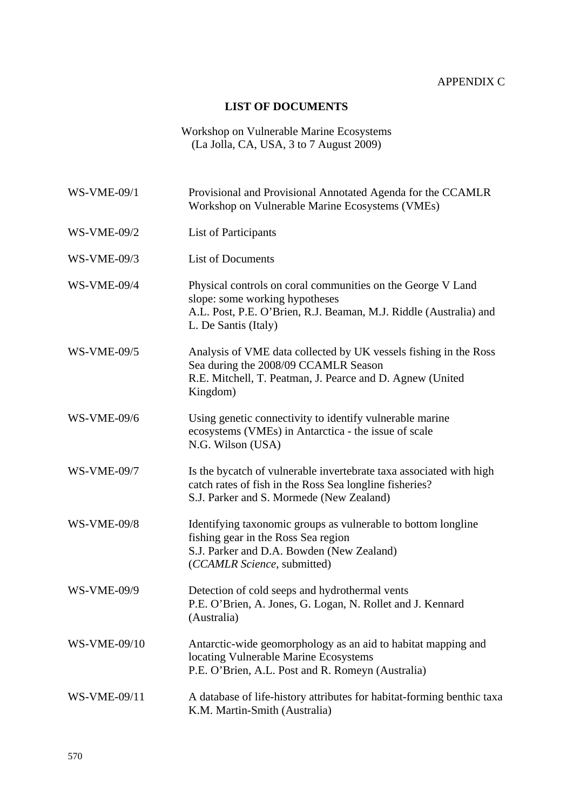# **LIST OF DOCUMENTS**

### Workshop on Vulnerable Marine Ecosystems (La Jolla, CA, USA, 3 to 7 August 2009)

<span id="page-33-0"></span>

| <b>WS-VME-09/1</b>  | Provisional and Provisional Annotated Agenda for the CCAMLR<br>Workshop on Vulnerable Marine Ecosystems (VMEs)                                                                             |
|---------------------|--------------------------------------------------------------------------------------------------------------------------------------------------------------------------------------------|
| <b>WS-VME-09/2</b>  | List of Participants                                                                                                                                                                       |
| <b>WS-VME-09/3</b>  | <b>List of Documents</b>                                                                                                                                                                   |
| <b>WS-VME-09/4</b>  | Physical controls on coral communities on the George V Land<br>slope: some working hypotheses<br>A.L. Post, P.E. O'Brien, R.J. Beaman, M.J. Riddle (Australia) and<br>L. De Santis (Italy) |
| <b>WS-VME-09/5</b>  | Analysis of VME data collected by UK vessels fishing in the Ross<br>Sea during the 2008/09 CCAMLR Season<br>R.E. Mitchell, T. Peatman, J. Pearce and D. Agnew (United<br>Kingdom)          |
| <b>WS-VME-09/6</b>  | Using genetic connectivity to identify vulnerable marine<br>ecosystems (VMEs) in Antarctica - the issue of scale<br>N.G. Wilson (USA)                                                      |
| <b>WS-VME-09/7</b>  | Is the bycatch of vulnerable invertebrate taxa associated with high<br>catch rates of fish in the Ross Sea longline fisheries?<br>S.J. Parker and S. Mormede (New Zealand)                 |
| <b>WS-VME-09/8</b>  | Identifying taxonomic groups as vulnerable to bottom longline<br>fishing gear in the Ross Sea region<br>S.J. Parker and D.A. Bowden (New Zealand)<br>(CCAMLR Science, submitted)           |
| <b>WS-VME-09/9</b>  | Detection of cold seeps and hydrothermal vents<br>P.E. O'Brien, A. Jones, G. Logan, N. Rollet and J. Kennard<br>(Australia)                                                                |
| <b>WS-VME-09/10</b> | Antarctic-wide geomorphology as an aid to habitat mapping and<br>locating Vulnerable Marine Ecosystems<br>P.E. O'Brien, A.L. Post and R. Romeyn (Australia)                                |
| WS-VME-09/11        | A database of life-history attributes for habitat-forming benthic taxa<br>K.M. Martin-Smith (Australia)                                                                                    |